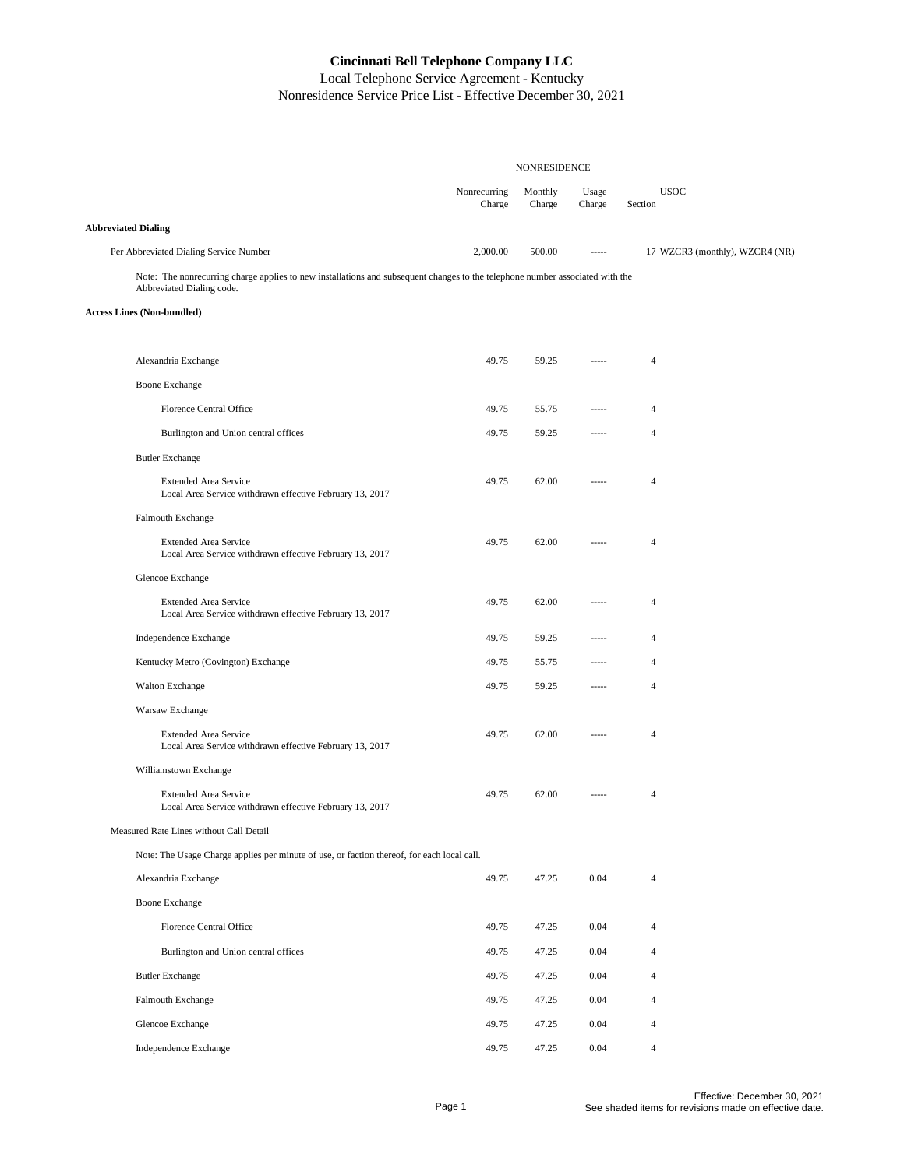|                                                                                                                                                            | <b>NONRESIDENCE</b>    |                   |                   |                                |
|------------------------------------------------------------------------------------------------------------------------------------------------------------|------------------------|-------------------|-------------------|--------------------------------|
|                                                                                                                                                            | Nonrecurring<br>Charge | Monthly<br>Charge | Usage<br>Charge   | <b>USOC</b><br>Section         |
| <b>Abbreviated Dialing</b>                                                                                                                                 |                        |                   |                   |                                |
| Per Abbreviated Dialing Service Number                                                                                                                     | 2,000.00               | 500.00            | $1 - 1 - 1$       | 17 WZCR3 (monthly), WZCR4 (NR) |
| Note: The nonrecurring charge applies to new installations and subsequent changes to the telephone number associated with the<br>Abbreviated Dialing code. |                        |                   |                   |                                |
| <b>Access Lines (Non-bundled)</b>                                                                                                                          |                        |                   |                   |                                |
|                                                                                                                                                            |                        |                   |                   |                                |
| Alexandria Exchange                                                                                                                                        | 49.75                  | 59.25             | $100 - 100 - 100$ | $\overline{4}$                 |
| <b>Boone Exchange</b>                                                                                                                                      |                        |                   |                   |                                |
| <b>Florence Central Office</b>                                                                                                                             | 49.75                  | 55.75             | -----             | $\overline{4}$                 |
| Burlington and Union central offices                                                                                                                       | 49.75                  | 59.25             |                   | $\overline{4}$                 |
| <b>Butler Exchange</b>                                                                                                                                     |                        |                   |                   |                                |
| <b>Extended Area Service</b><br>Local Area Service withdrawn effective February 13, 2017                                                                   | 49.75                  | 62.00             | -----             | $\overline{4}$                 |
| Falmouth Exchange                                                                                                                                          |                        |                   |                   |                                |
| <b>Extended Area Service</b><br>Local Area Service withdrawn effective February 13, 2017                                                                   | 49.75                  | 62.00             | -----             | $\overline{4}$                 |
| Glencoe Exchange                                                                                                                                           |                        |                   |                   |                                |
| <b>Extended Area Service</b><br>Local Area Service withdrawn effective February 13, 2017                                                                   | 49.75                  | 62.00             | -----             | $\overline{4}$                 |
| Independence Exchange                                                                                                                                      | 49.75                  | 59.25             | -----             | $\overline{4}$                 |
| Kentucky Metro (Covington) Exchange                                                                                                                        | 49.75                  | 55.75             | -----             | $\overline{4}$                 |
| <b>Walton Exchange</b>                                                                                                                                     | 49.75                  | 59.25             | -----             | $\overline{4}$                 |
| Warsaw Exchange                                                                                                                                            |                        |                   |                   |                                |
| <b>Extended Area Service</b><br>Local Area Service withdrawn effective February 13, 2017                                                                   | 49.75                  | 62.00             | 1.1.1.1           | $\overline{4}$                 |
| Williamstown Exchange                                                                                                                                      |                        |                   |                   |                                |
| <b>Extended Area Service</b><br>Local Area Service withdrawn effective February 13, 2017                                                                   | 49.75                  | 62.00             | -----             | $\overline{4}$                 |
| Measured Rate Lines without Call Detail                                                                                                                    |                        |                   |                   |                                |
| Note: The Usage Charge applies per minute of use, or faction thereof, for each local call.                                                                 |                        |                   |                   |                                |
| Alexandria Exchange                                                                                                                                        | 49.75                  | 47.25             | 0.04              | $\overline{4}$                 |
| <b>Boone Exchange</b>                                                                                                                                      |                        |                   |                   |                                |
| <b>Florence Central Office</b>                                                                                                                             | 49.75                  | 47.25             | 0.04              | $\overline{4}$                 |
| Burlington and Union central offices                                                                                                                       | 49.75                  | 47.25             | 0.04              | $\overline{4}$                 |
| <b>Butler Exchange</b>                                                                                                                                     | 49.75                  | 47.25             | 0.04              | $\overline{4}$                 |
| Falmouth Exchange                                                                                                                                          | 49.75                  | 47.25             | 0.04              | $\overline{4}$                 |
| Glencoe Exchange                                                                                                                                           | 49.75                  | 47.25             | 0.04              | $\overline{4}$                 |
| Independence Exchange                                                                                                                                      | 49.75                  | 47.25             | 0.04              | $\overline{4}$                 |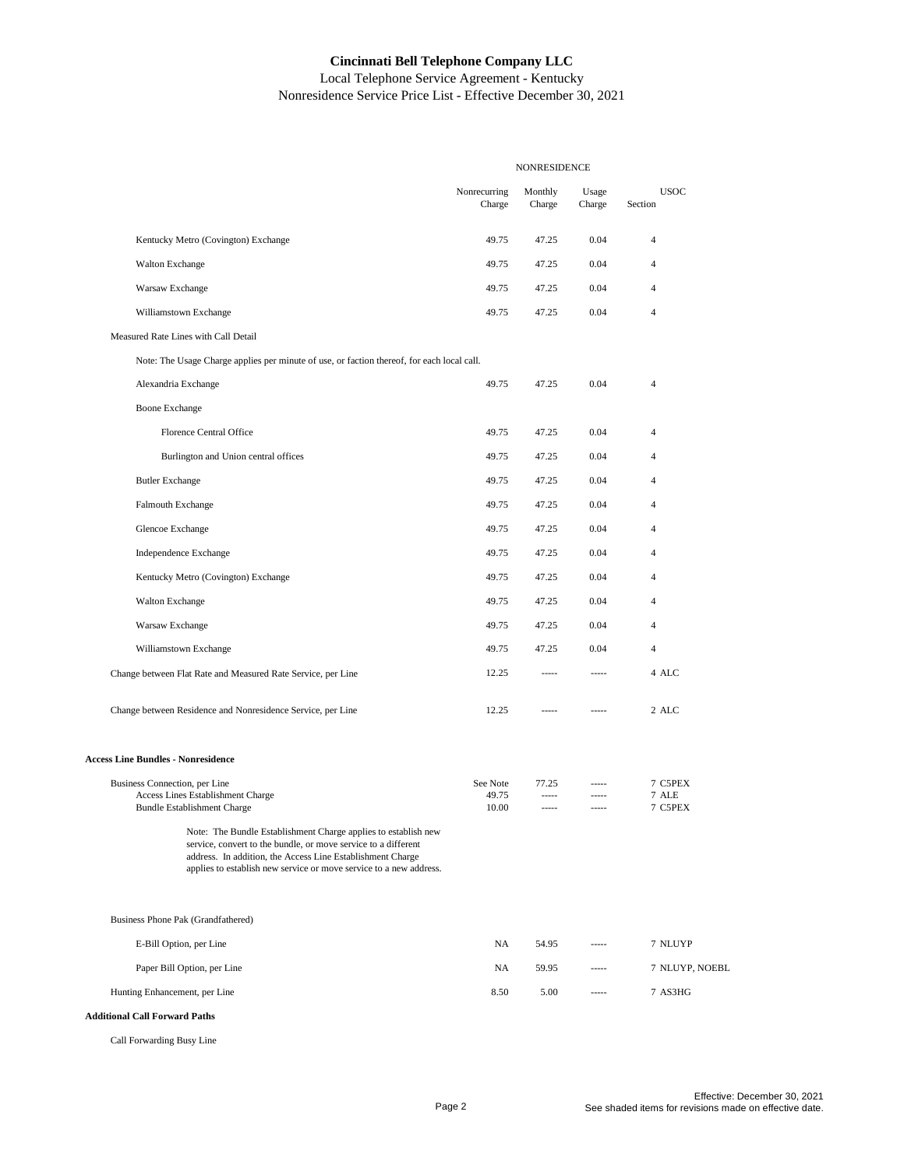Local Telephone Service Agreement - Kentucky Nonresidence Service Price List - Effective December 30, 2021

|                                                                                                                                                                                                                                                                                                                                                                                  | NONRESIDENCE               |                            |                               |                             |
|----------------------------------------------------------------------------------------------------------------------------------------------------------------------------------------------------------------------------------------------------------------------------------------------------------------------------------------------------------------------------------|----------------------------|----------------------------|-------------------------------|-----------------------------|
|                                                                                                                                                                                                                                                                                                                                                                                  | Nonrecurring<br>Charge     | Monthly<br>Charge          | Usage<br>Charge               | <b>USOC</b><br>Section      |
| Kentucky Metro (Covington) Exchange                                                                                                                                                                                                                                                                                                                                              | 49.75                      | 47.25                      | 0.04                          | $\overline{4}$              |
| <b>Walton Exchange</b>                                                                                                                                                                                                                                                                                                                                                           | 49.75                      | 47.25                      | 0.04                          | $\overline{4}$              |
| Warsaw Exchange                                                                                                                                                                                                                                                                                                                                                                  | 49.75                      | 47.25                      | 0.04                          | $\overline{4}$              |
| Williamstown Exchange                                                                                                                                                                                                                                                                                                                                                            | 49.75                      | 47.25                      | 0.04                          | $\overline{4}$              |
| Measured Rate Lines with Call Detail                                                                                                                                                                                                                                                                                                                                             |                            |                            |                               |                             |
| Note: The Usage Charge applies per minute of use, or faction thereof, for each local call.                                                                                                                                                                                                                                                                                       |                            |                            |                               |                             |
| Alexandria Exchange                                                                                                                                                                                                                                                                                                                                                              | 49.75                      | 47.25                      | 0.04                          | $\overline{4}$              |
| <b>Boone Exchange</b>                                                                                                                                                                                                                                                                                                                                                            |                            |                            |                               |                             |
| Florence Central Office                                                                                                                                                                                                                                                                                                                                                          | 49.75                      | 47.25                      | 0.04                          | $\overline{4}$              |
| Burlington and Union central offices                                                                                                                                                                                                                                                                                                                                             | 49.75                      | 47.25                      | 0.04                          | $\overline{4}$              |
| <b>Butler Exchange</b>                                                                                                                                                                                                                                                                                                                                                           | 49.75                      | 47.25                      | 0.04                          | $\overline{4}$              |
| Falmouth Exchange                                                                                                                                                                                                                                                                                                                                                                | 49.75                      | 47.25                      | 0.04                          | $\overline{4}$              |
| Glencoe Exchange                                                                                                                                                                                                                                                                                                                                                                 | 49.75                      | 47.25                      | 0.04                          | $\overline{4}$              |
| Independence Exchange                                                                                                                                                                                                                                                                                                                                                            | 49.75                      | 47.25                      | 0.04                          | $\overline{4}$              |
| Kentucky Metro (Covington) Exchange                                                                                                                                                                                                                                                                                                                                              | 49.75                      | 47.25                      | 0.04                          | $\overline{4}$              |
| <b>Walton Exchange</b>                                                                                                                                                                                                                                                                                                                                                           | 49.75                      | 47.25                      | 0.04                          | $\overline{4}$              |
| Warsaw Exchange                                                                                                                                                                                                                                                                                                                                                                  | 49.75                      | 47.25                      | 0.04                          | $\overline{4}$              |
| Williamstown Exchange                                                                                                                                                                                                                                                                                                                                                            | 49.75                      | 47.25                      | 0.04                          | $\overline{4}$              |
| Change between Flat Rate and Measured Rate Service, per Line                                                                                                                                                                                                                                                                                                                     | 12.25                      | -----                      | $- - - - -$                   | 4 ALC                       |
| Change between Residence and Nonresidence Service, per Line                                                                                                                                                                                                                                                                                                                      | 12.25                      | -----                      | -----                         | 2 ALC                       |
| <b>Access Line Bundles - Nonresidence</b>                                                                                                                                                                                                                                                                                                                                        |                            |                            |                               |                             |
| Business Connection, per Line<br>Access Lines Establishment Charge<br><b>Bundle Establishment Charge</b><br>Note: The Bundle Establishment Charge applies to establish new<br>service, convert to the bundle, or move service to a different<br>address. In addition, the Access Line Establishment Charge<br>applies to establish new service or move service to a new address. | See Note<br>49.75<br>10.00 | 77.25<br>-----<br>$^{***}$ | -----<br>$- - - - -$<br>----- | 7 C5PEX<br>7 ALE<br>7 C5PEX |
| Business Phone Pak (Grandfathered)                                                                                                                                                                                                                                                                                                                                               |                            |                            |                               |                             |
| E-Bill Option, per Line                                                                                                                                                                                                                                                                                                                                                          | NA                         | 54.95                      | -----                         | 7 NLUYP                     |
| Paper Bill Option, per Line                                                                                                                                                                                                                                                                                                                                                      | NA                         | 59.95                      | -----                         | 7 NLUYP, NOEBL              |
| Hunting Enhancement, per Line                                                                                                                                                                                                                                                                                                                                                    | 8.50                       | 5.00                       | -----                         | 7 AS3HG                     |
| <b>Additional Call Forward Paths</b>                                                                                                                                                                                                                                                                                                                                             |                            |                            |                               |                             |

Call Forwarding Busy Line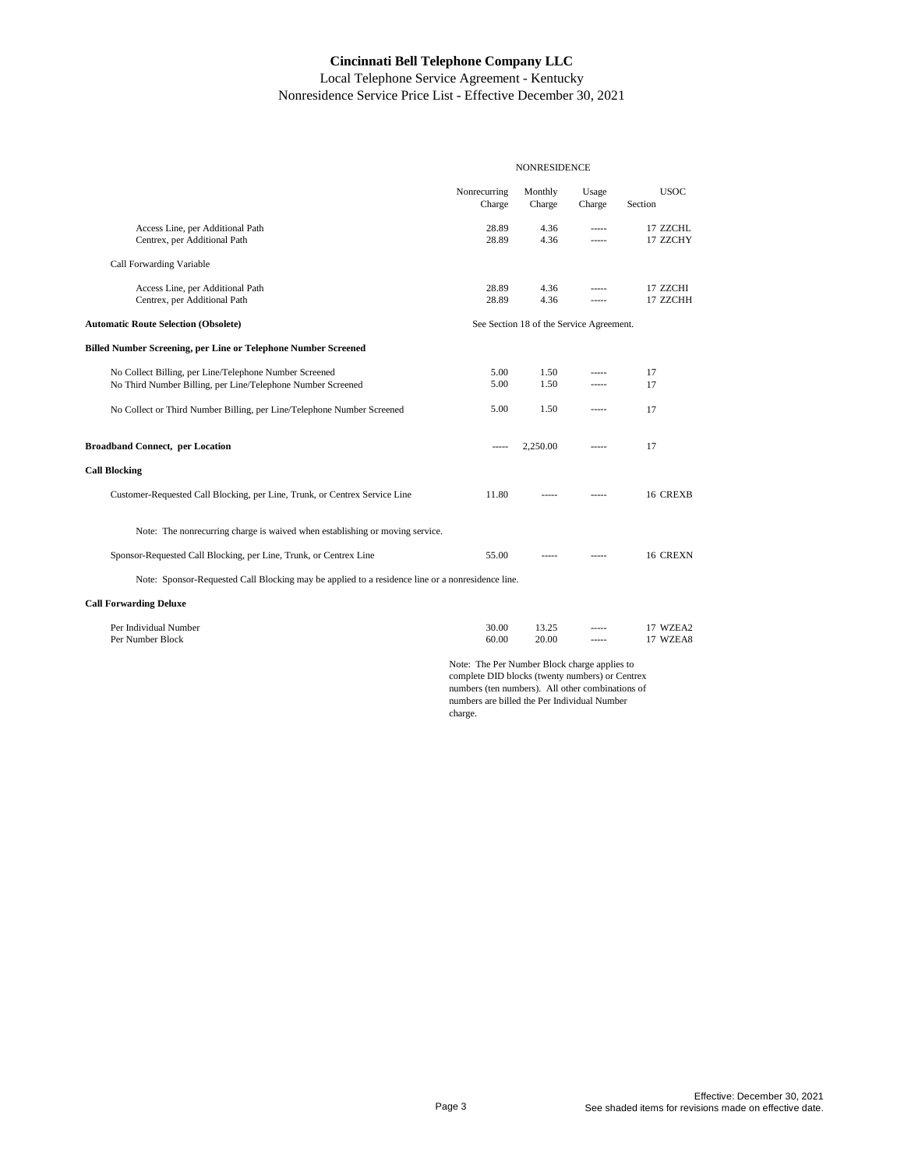Local Telephone Service Agreement - Kentucky Nonresidence Service Price List - Effective December 30, 2021

|                                                                                                                                                    | <b>NONRESIDENCE</b>                      |                   |                 |                        |  |
|----------------------------------------------------------------------------------------------------------------------------------------------------|------------------------------------------|-------------------|-----------------|------------------------|--|
|                                                                                                                                                    | Nonrecurring<br>Charge                   | Monthly<br>Charge | Usage<br>Charge | <b>USOC</b><br>Section |  |
| Access Line, per Additional Path<br>Centrex, per Additional Path                                                                                   | 28.89<br>28.89                           | 4.36<br>4.36      | -----<br>-----  | 17 ZZCHL<br>17 ZZCHY   |  |
| Call Forwarding Variable                                                                                                                           |                                          |                   |                 |                        |  |
| Access Line, per Additional Path<br>Centrex, per Additional Path                                                                                   | 28.89<br>28.89                           | 4.36<br>4.36      | -----           | 17 ZZCHI<br>17 ZZCHH   |  |
| <b>Automatic Route Selection (Obsolete)</b>                                                                                                        | See Section 18 of the Service Agreement. |                   |                 |                        |  |
| <b>Billed Number Screening, per Line or Telephone Number Screened</b>                                                                              |                                          |                   |                 |                        |  |
| No Collect Billing, per Line/Telephone Number Screened<br>No Third Number Billing, per Line/Telephone Number Screened                              | 5.00<br>5.00                             | 1.50<br>1.50      | -----<br>-----  | 17<br>17               |  |
| No Collect or Third Number Billing, per Line/Telephone Number Screened                                                                             | 5.00                                     | 1.50              | -----           | 17                     |  |
| <b>Broadband Connect, per Location</b>                                                                                                             | -----                                    | 2,250.00          | -----           | 17                     |  |
| <b>Call Blocking</b>                                                                                                                               |                                          |                   |                 |                        |  |
| Customer-Requested Call Blocking, per Line, Trunk, or Centrex Service Line                                                                         | 11.80                                    | -----             |                 | 16 CREXB               |  |
| Note: The nonrecurring charge is waived when establishing or moving service.                                                                       |                                          |                   |                 |                        |  |
| Sponsor-Requested Call Blocking, per Line, Trunk, or Centrex Line                                                                                  | 55.00                                    |                   |                 | 16 CREXN               |  |
| Note: Sponsor-Requested Call Blocking may be applied to a residence line or a nonresidence line.                                                   |                                          |                   |                 |                        |  |
| <b>Call Forwarding Deluxe</b>                                                                                                                      |                                          |                   |                 |                        |  |
| Per Individual Number<br>Per Number Block                                                                                                          | 30.00<br>60.00                           | 13.25<br>20.00    | -----<br>-----  | 17 WZEA2<br>17 WZEA8   |  |
| Note: The Per Number Block charge applies to<br>complete DID blocks (twenty numbers) or Centrex<br>numbors (top numbors) All other combinations of |                                          |                   |                 |                        |  |

numbers (ten numbers). All other combinations of numbers are billed the Per Individual Number charge.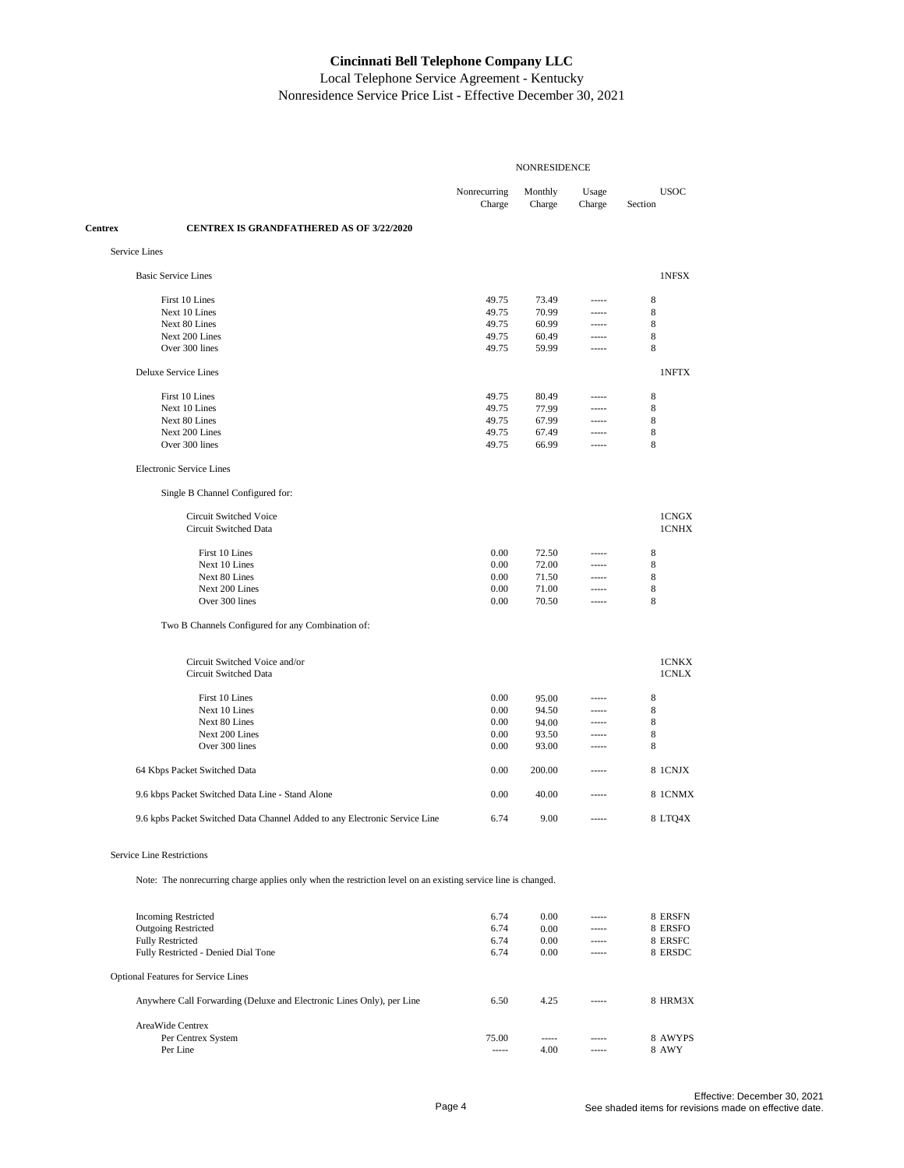Local Telephone Service Agreement - Kentucky Nonresidence Service Price List - Effective December 30, 2021

|               |                                                                                                               | <b>NONRESIDENCE</b>    |                   |                 |                        |  |
|---------------|---------------------------------------------------------------------------------------------------------------|------------------------|-------------------|-----------------|------------------------|--|
|               |                                                                                                               | Nonrecurring<br>Charge | Monthly<br>Charge | Usage<br>Charge | <b>USOC</b><br>Section |  |
| Centrex       | <b>CENTREX IS GRANDFATHERED AS OF 3/22/2020</b>                                                               |                        |                   |                 |                        |  |
| Service Lines |                                                                                                               |                        |                   |                 |                        |  |
|               | <b>Basic Service Lines</b>                                                                                    |                        |                   |                 | 1NFSX                  |  |
|               | First 10 Lines                                                                                                | 49.75                  | 73.49             | -----           | 8                      |  |
|               | Next 10 Lines                                                                                                 | 49.75                  | 70.99             | -----           | 8                      |  |
|               | Next 80 Lines                                                                                                 | 49.75                  | 60.99             | -----           | 8                      |  |
|               | Next 200 Lines                                                                                                | 49.75                  | 60.49             | -----           | 8                      |  |
|               | Over 300 lines                                                                                                | 49.75                  | 59.99             | -----           | 8                      |  |
|               | <b>Deluxe Service Lines</b>                                                                                   |                        |                   |                 | 1NFTX                  |  |
|               | First 10 Lines                                                                                                | 49.75                  | 80.49             | -----           | 8                      |  |
|               | Next 10 Lines                                                                                                 | 49.75                  | 77.99             | 1.1.1           | 8                      |  |
|               | Next 80 Lines                                                                                                 | 49.75                  | 67.99             | -----           | 8                      |  |
|               | Next 200 Lines                                                                                                | 49.75                  | 67.49             | -----           | 8                      |  |
|               | Over 300 lines                                                                                                | 49.75                  | 66.99             | -----           | 8                      |  |
|               | <b>Electronic Service Lines</b>                                                                               |                        |                   |                 |                        |  |
|               | Single B Channel Configured for:                                                                              |                        |                   |                 |                        |  |
|               | Circuit Switched Voice                                                                                        |                        |                   |                 | 1CNGX                  |  |
|               | Circuit Switched Data                                                                                         |                        |                   |                 | 1CNHX                  |  |
|               | First 10 Lines                                                                                                | 0.00                   | 72.50             | -----           | 8                      |  |
|               | Next 10 Lines                                                                                                 | 0.00                   | 72.00             | -----           | 8                      |  |
|               | Next 80 Lines                                                                                                 | 0.00                   | 71.50             | -----           | 8                      |  |
|               | Next 200 Lines                                                                                                | 0.00                   | 71.00             | -----           | 8                      |  |
|               | Over 300 lines                                                                                                | 0.00                   | 70.50             | -----           | 8                      |  |
|               | Two B Channels Configured for any Combination of:                                                             |                        |                   |                 |                        |  |
|               |                                                                                                               |                        |                   |                 |                        |  |
|               | Circuit Switched Voice and/or                                                                                 |                        |                   |                 | 1CNKX                  |  |
|               | Circuit Switched Data                                                                                         |                        |                   |                 | 1CNLX                  |  |
|               | First 10 Lines                                                                                                | 0.00                   | 95.00             | -----           | 8                      |  |
|               | Next 10 Lines                                                                                                 | 0.00                   | 94.50             | -----           | 8                      |  |
|               | Next 80 Lines                                                                                                 | 0.00                   | 94.00             | -----           | 8                      |  |
|               | Next 200 Lines                                                                                                | 0.00                   | 93.50             | -----           | 8                      |  |
|               | Over 300 lines                                                                                                | 0.00                   | 93.00             | -----           | 8                      |  |
|               | 64 Kbps Packet Switched Data                                                                                  | 0.00                   | 200.00            | -----           | 8 1CNJX                |  |
|               | 9.6 kbps Packet Switched Data Line - Stand Alone                                                              | 0.00                   | 40.00             |                 | 8 1CNMX                |  |
|               | 9.6 kpbs Packet Switched Data Channel Added to any Electronic Service Line                                    | 6.74                   | 9.00              |                 | 8 LTQ4X                |  |
|               |                                                                                                               |                        |                   |                 |                        |  |
|               | Service Line Restrictions                                                                                     |                        |                   |                 |                        |  |
|               | Note: The nonrecurring charge applies only when the restriction level on an existing service line is changed. |                        |                   |                 |                        |  |
|               | <b>Incoming Restricted</b>                                                                                    | 6.74                   | 0.00              | -----           | 8 ERSFN                |  |
|               | <b>Outgoing Restricted</b>                                                                                    | 6.74                   | 0.00              | -----           | 8 ERSFO                |  |
|               | <b>Fully Restricted</b>                                                                                       | 6.74                   | 0.00              | -----           | 8 ERSFC                |  |
|               | Fully Restricted - Denied Dial Tone                                                                           | 6.74                   | 0.00              | -----           | 8 ERSDC                |  |
|               | <b>Optional Features for Service Lines</b>                                                                    |                        |                   |                 |                        |  |
|               | Anywhere Call Forwarding (Deluxe and Electronic Lines Only), per Line                                         | 6.50                   | 4.25              | -----           |                        |  |
|               |                                                                                                               |                        |                   |                 | 8 HRM3X                |  |

Per Centrex System 75.00 ----- ----- 8 AWYPS Per Line 8 AWY

AreaWide Centrex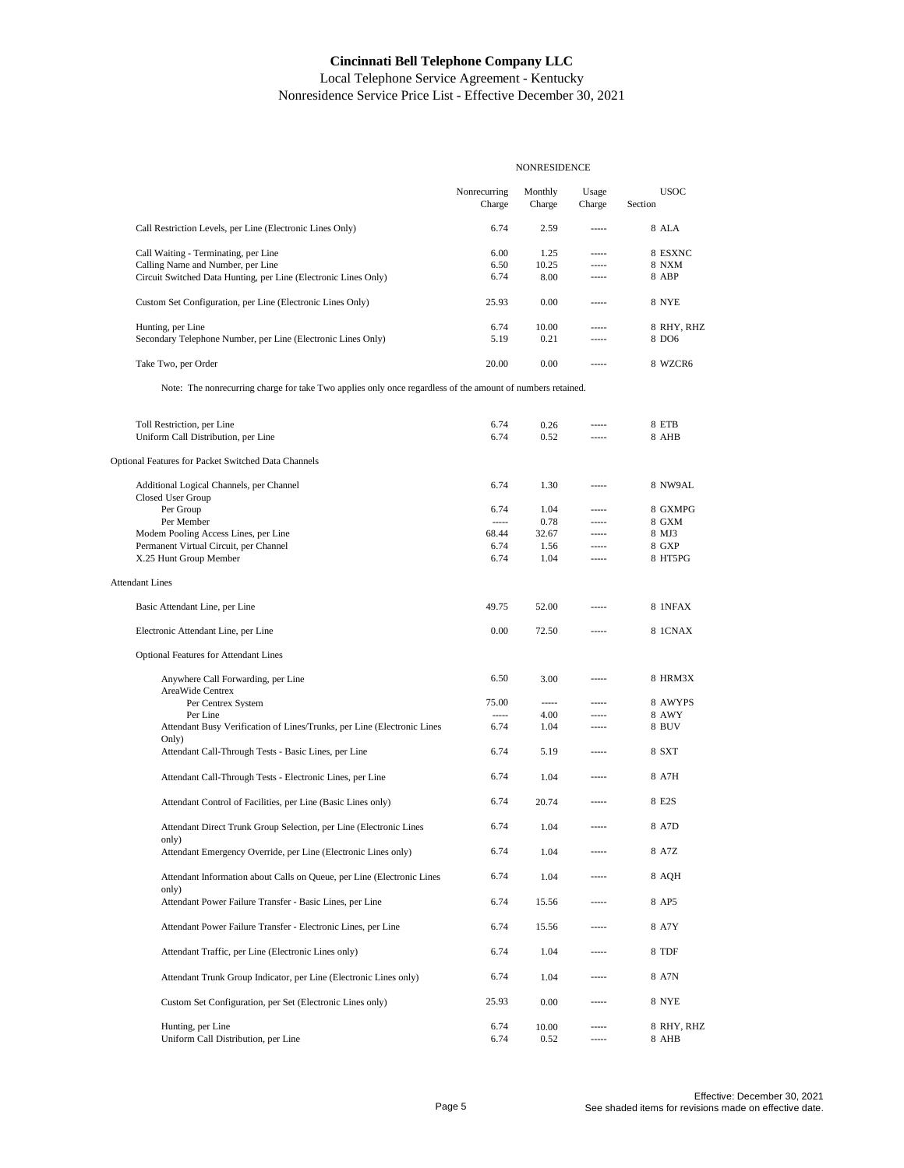|                                                                                                            | <b>NONRESIDENCE</b>    |                   |                 |                        |
|------------------------------------------------------------------------------------------------------------|------------------------|-------------------|-----------------|------------------------|
|                                                                                                            | Nonrecurring<br>Charge | Monthly<br>Charge | Usage<br>Charge | <b>USOC</b><br>Section |
| Call Restriction Levels, per Line (Electronic Lines Only)                                                  | 6.74                   | 2.59              | -----           | 8 ALA                  |
| Call Waiting - Terminating, per Line                                                                       | 6.00                   | 1.25              | -----           | 8 ESXNC                |
| Calling Name and Number, per Line                                                                          | 6.50                   | 10.25             | -----           | <b>8 NXM</b>           |
| Circuit Switched Data Hunting, per Line (Electronic Lines Only)                                            | 6.74                   | 8.00              | -----           | 8 ABP                  |
| Custom Set Configuration, per Line (Electronic Lines Only)                                                 | 25.93                  | 0.00              | -----           | 8 NYE                  |
| Hunting, per Line                                                                                          | 6.74                   | 10.00             | -----           | 8 RHY, RHZ             |
| Secondary Telephone Number, per Line (Electronic Lines Only)                                               | 5.19                   | 0.21              | -----           | 8 DO6                  |
| Take Two, per Order                                                                                        | 20.00                  | 0.00              | -----           | 8 WZCR6                |
| Note: The nonrecurring charge for take Two applies only once regardless of the amount of numbers retained. |                        |                   |                 |                        |
|                                                                                                            |                        |                   |                 |                        |
| Toll Restriction, per Line<br>Uniform Call Distribution, per Line                                          | 6.74<br>6.74           | 0.26<br>0.52      | -----           | 8 ETB<br>8 AHB         |
|                                                                                                            |                        |                   |                 |                        |
| Optional Features for Packet Switched Data Channels                                                        |                        |                   |                 |                        |
| Additional Logical Channels, per Channel                                                                   | 6.74                   | 1.30              | -----           | 8 NW9AL                |
| Closed User Group                                                                                          |                        |                   |                 |                        |
| Per Group<br>Per Member                                                                                    | 6.74<br>-----          | 1.04<br>0.78      | -----<br>-----  | 8 GXMPG<br>8 GXM       |
| Modem Pooling Access Lines, per Line                                                                       | 68.44                  | 32.67             | -----           | 8 MJ3                  |
| Permanent Virtual Circuit, per Channel                                                                     | 6.74                   | 1.56              | -----           | 8 GXP                  |
| X.25 Hunt Group Member                                                                                     | 6.74                   | 1.04              | -----           | 8 HT5PG                |
| <b>Attendant Lines</b>                                                                                     |                        |                   |                 |                        |
| Basic Attendant Line, per Line                                                                             | 49.75                  | 52.00             |                 | 8 1NFAX                |
| Electronic Attendant Line, per Line                                                                        | 0.00                   | 72.50             |                 | <b>8 1CNAX</b>         |
|                                                                                                            |                        |                   |                 |                        |
| <b>Optional Features for Attendant Lines</b>                                                               |                        |                   |                 |                        |
| Anywhere Call Forwarding, per Line<br>AreaWide Centrex                                                     | 6.50                   | 3.00              | -----           | 8 HRM3X                |
| Per Centrex System                                                                                         | 75.00                  | -----             | -----           | 8 AWYPS                |
| Per Line                                                                                                   | -----                  | 4.00              | -----           | <b>8 AWY</b>           |
| Attendant Busy Verification of Lines/Trunks, per Line (Electronic Lines<br>Only)                           | 6.74                   | 1.04              | -----           | 8 BUV                  |
| Attendant Call-Through Tests - Basic Lines, per Line                                                       | 6.74                   | 5.19              | -----           | 8 SXT                  |
| Attendant Call-Through Tests - Electronic Lines, per Line                                                  | 6.74                   | 1.04              | -----           | 8 A7H                  |
| Attendant Control of Facilities, per Line (Basic Lines only)                                               | 6.74                   | 20.74             | -----           | 8 E2S                  |
| Attendant Direct Trunk Group Selection, per Line (Electronic Lines                                         | 6.74                   | 1.04              |                 | 8 A7D                  |
| only)<br>Attendant Emergency Override, per Line (Electronic Lines only)                                    | 6.74                   | 1.04              |                 | 8 A7Z                  |
| Attendant Information about Calls on Queue, per Line (Electronic Lines                                     | 6.74                   | 1.04              | -----           | 8 AOH                  |
| only)<br>Attendant Power Failure Transfer - Basic Lines, per Line                                          | 6.74                   | 15.56             |                 | 8 AP5                  |
| Attendant Power Failure Transfer - Electronic Lines, per Line                                              | 6.74                   | 15.56             | -----           | 8 A7Y                  |
| Attendant Traffic, per Line (Electronic Lines only)                                                        | 6.74                   | 1.04              | -----           | 8 TDF                  |
| Attendant Trunk Group Indicator, per Line (Electronic Lines only)                                          | 6.74                   | 1.04              |                 | 8 A7N                  |
| Custom Set Configuration, per Set (Electronic Lines only)                                                  | 25.93                  | 0.00              | -----           | 8 NYE                  |
|                                                                                                            |                        |                   |                 |                        |
| Hunting, per Line                                                                                          | 6.74                   | 10.00             | -----           | 8 RHY, RHZ             |
| Uniform Call Distribution, per Line                                                                        | 6.74                   | 0.52              |                 | 8 AHB                  |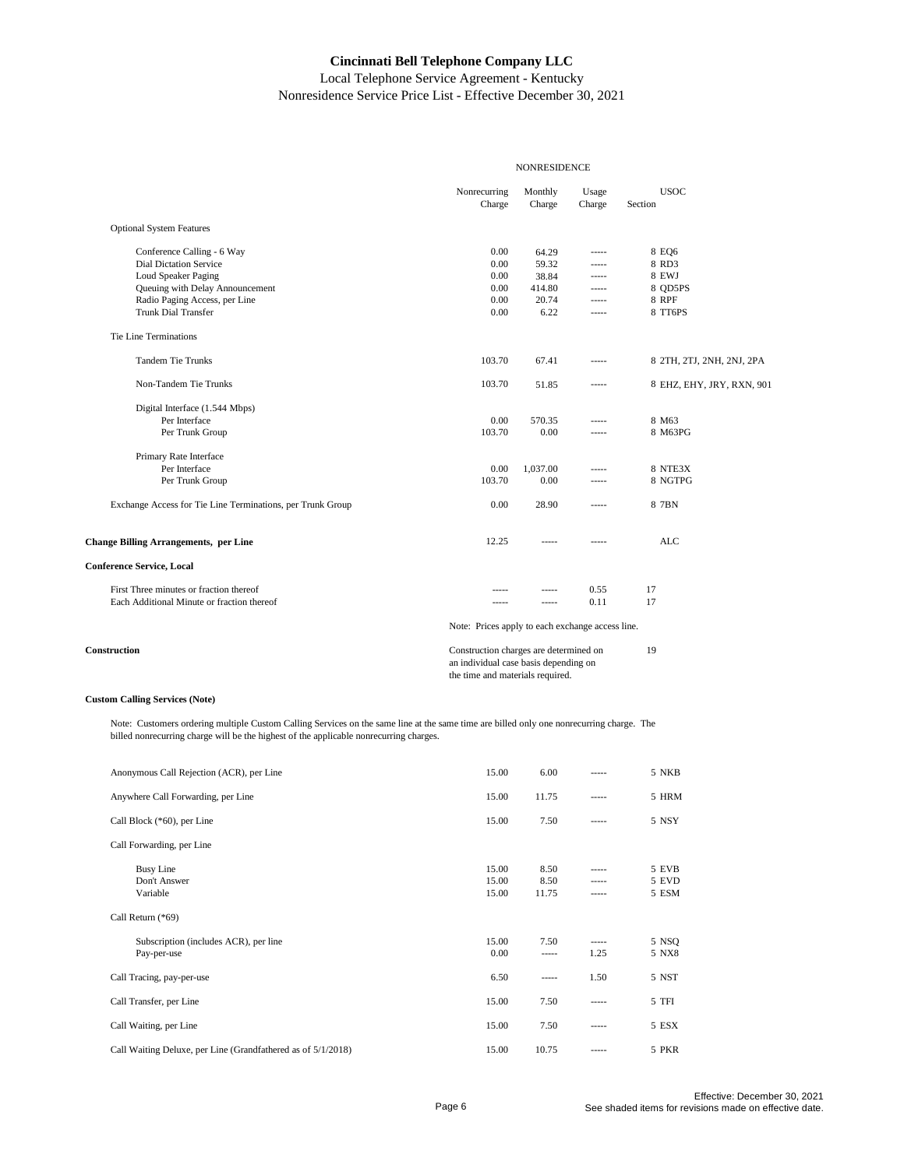Local Telephone Service Agreement - Kentucky Nonresidence Service Price List - Effective December 30, 2021

|                                                            | <b>NONRESIDENCE</b>                                                                                                 |                   |                 |                           |
|------------------------------------------------------------|---------------------------------------------------------------------------------------------------------------------|-------------------|-----------------|---------------------------|
|                                                            | Nonrecurring<br>Charge                                                                                              | Monthly<br>Charge | Usage<br>Charge | <b>USOC</b><br>Section    |
| <b>Optional System Features</b>                            |                                                                                                                     |                   |                 |                           |
| Conference Calling - 6 Way                                 | 0.00                                                                                                                | 64.29             | -----           | 8 EQ6                     |
| <b>Dial Dictation Service</b>                              | 0.00                                                                                                                | 59.32             | $1 - 1 - 1$     | 8 RD3                     |
| Loud Speaker Paging                                        | 0.00                                                                                                                | 38.84             | -----           | 8 EWJ                     |
| Queuing with Delay Announcement                            | 0.00                                                                                                                | 414.80            | $- - - - -$     | 8 QD5PS                   |
| Radio Paging Access, per Line                              | 0.00                                                                                                                | 20.74             | $- - - - -$     | <b>8 RPF</b>              |
| <b>Trunk Dial Transfer</b>                                 | 0.00                                                                                                                | 6.22              | $100 - 100$     | 8 TT6PS                   |
| Tie Line Terminations                                      |                                                                                                                     |                   |                 |                           |
| <b>Tandem Tie Trunks</b>                                   | 103.70                                                                                                              | 67.41             | $100 - 100$     | 8 2TH, 2TJ, 2NH, 2NJ, 2PA |
| Non-Tandem Tie Trunks                                      | 103.70                                                                                                              | 51.85             | -----           | 8 EHZ, EHY, JRY, RXN, 901 |
| Digital Interface (1.544 Mbps)                             |                                                                                                                     |                   |                 |                           |
| Per Interface                                              | 0.00                                                                                                                | 570.35            | -----           | 8 M63                     |
| Per Trunk Group                                            | 103.70                                                                                                              | 0.00              | $- - - - -$     | 8 M63PG                   |
| Primary Rate Interface                                     |                                                                                                                     |                   |                 |                           |
| Per Interface                                              | 0.00                                                                                                                | 1,037.00          | -----           | 8 NTE3X                   |
| Per Trunk Group                                            | 103.70                                                                                                              | 0.00              | -----           | 8 NGTPG                   |
| Exchange Access for Tie Line Terminations, per Trunk Group | 0.00                                                                                                                | 28.90             | $1 - 1 - 1$     | 8 7BN                     |
| <b>Change Billing Arrangements, per Line</b>               | 12.25                                                                                                               | $100 - 100 = 100$ | $- - - - -$     | <b>ALC</b>                |
| <b>Conference Service, Local</b>                           |                                                                                                                     |                   |                 |                           |
| First Three minutes or fraction thereof                    |                                                                                                                     | -----             | 0.55            | 17                        |
| Each Additional Minute or fraction thereof                 | $- - - - -$                                                                                                         | -----             | 0.11            | 17                        |
|                                                            | Note: Prices apply to each exchange access line.                                                                    |                   |                 |                           |
| Construction                                               | Construction charges are determined on<br>an individual case basis depending on<br>the time and materials required. | 19                |                 |                           |

#### **Custom Calling Services (Note)**

Note: Customers ordering multiple Custom Calling Services on the same line at the same time are billed only one nonrecurring charge. The billed nonrecurring charge will be the highest of the applicable nonrecurring charges.

| Anonymous Call Rejection (ACR), per Line                     | 15.00                   | 6.00                  | -----                   | 5 NKB                   |
|--------------------------------------------------------------|-------------------------|-----------------------|-------------------------|-------------------------|
| Anywhere Call Forwarding, per Line                           | 15.00                   | 11.75                 | -----                   | 5 HRM                   |
| Call Block (*60), per Line                                   | 15.00                   | 7.50                  | -----                   | 5 NSY                   |
| Call Forwarding, per Line                                    |                         |                       |                         |                         |
| <b>Busy Line</b><br>Don't Answer<br>Variable                 | 15.00<br>15.00<br>15.00 | 8.50<br>8.50<br>11.75 | -----<br>-----<br>----- | 5 EVB<br>5 EVD<br>5 ESM |
| Call Return (*69)                                            |                         |                       |                         |                         |
| Subscription (includes ACR), per line<br>Pay-per-use         | 15.00<br>0.00           | 7.50<br>-----         | -----<br>1.25           | 5 NSQ<br>5 NX8          |
| Call Tracing, pay-per-use                                    | 6.50                    | -----                 | 1.50                    | 5 NST                   |
| Call Transfer, per Line                                      | 15.00                   | 7.50                  | -----                   | 5 TFI                   |
| Call Waiting, per Line                                       | 15.00                   | 7.50                  | -----                   | 5 ESX                   |
| Call Waiting Deluxe, per Line (Grandfathered as of 5/1/2018) | 15.00                   | 10.75                 | -----                   | 5 PKR                   |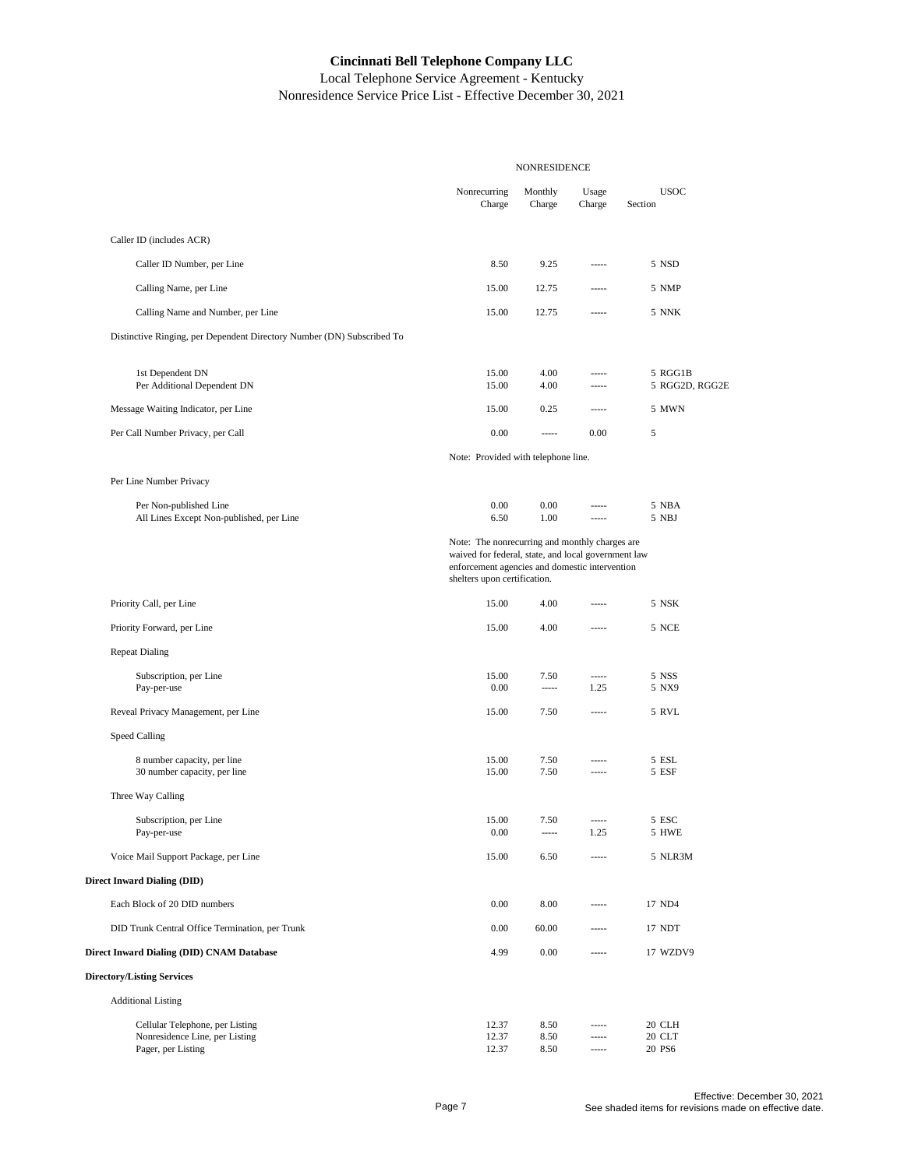|                                                                                         | <b>NONRESIDENCE</b>                                                                                                                                                                     |                      |                         |                            |
|-----------------------------------------------------------------------------------------|-----------------------------------------------------------------------------------------------------------------------------------------------------------------------------------------|----------------------|-------------------------|----------------------------|
|                                                                                         | Nonrecurring<br>Charge                                                                                                                                                                  | Monthly<br>Charge    | Usage<br>Charge         | <b>USOC</b><br>Section     |
| Caller ID (includes ACR)                                                                |                                                                                                                                                                                         |                      |                         |                            |
| Caller ID Number, per Line                                                              | 8.50                                                                                                                                                                                    | 9.25                 | -----                   | 5 NSD                      |
| Calling Name, per Line                                                                  | 15.00                                                                                                                                                                                   | 12.75                | -----                   | 5 NMP                      |
| Calling Name and Number, per Line                                                       | 15.00                                                                                                                                                                                   | 12.75                | -----                   | 5 NNK                      |
| Distinctive Ringing, per Dependent Directory Number (DN) Subscribed To                  |                                                                                                                                                                                         |                      |                         |                            |
| 1st Dependent DN                                                                        | 15.00                                                                                                                                                                                   | 4.00<br>4.00         | -----<br>-----          | 5 RGG1B                    |
| Per Additional Dependent DN                                                             | 15.00                                                                                                                                                                                   |                      |                         | 5 RGG2D, RGG2E             |
| Message Waiting Indicator, per Line                                                     | 15.00<br>0.00                                                                                                                                                                           | 0.25<br>-----        | -----<br>0.00           | 5 MWN<br>5                 |
| Per Call Number Privacy, per Call                                                       | Note: Provided with telephone line.                                                                                                                                                     |                      |                         |                            |
| Per Line Number Privacy                                                                 |                                                                                                                                                                                         |                      |                         |                            |
| Per Non-published Line<br>All Lines Except Non-published, per Line                      | 0.00<br>6.50                                                                                                                                                                            | 0.00<br>1.00         | -----<br>-----          | 5 NBA<br>5 NBJ             |
|                                                                                         | Note: The nonrecurring and monthly charges are<br>waived for federal, state, and local government law<br>enforcement agencies and domestic intervention<br>shelters upon certification. |                      |                         |                            |
| Priority Call, per Line                                                                 | 15.00                                                                                                                                                                                   | 4.00                 | -----                   | 5 NSK                      |
| Priority Forward, per Line                                                              | 15.00                                                                                                                                                                                   | 4.00                 | -----                   | 5 NCE                      |
| <b>Repeat Dialing</b>                                                                   |                                                                                                                                                                                         |                      |                         |                            |
| Subscription, per Line                                                                  | 15.00<br>0.00                                                                                                                                                                           | 7.50<br>-----        | -----<br>1.25           | 5 NSS<br>5 NX9             |
| Pay-per-use<br>Reveal Privacy Management, per Line                                      | 15.00                                                                                                                                                                                   | 7.50                 | -----                   | 5 RVL                      |
| Speed Calling                                                                           |                                                                                                                                                                                         |                      |                         |                            |
| 8 number capacity, per line<br>30 number capacity, per line                             | 15.00<br>15.00                                                                                                                                                                          | 7.50<br>7.50         | -----<br>$^{***}$       | 5 ESL<br>5 ESF             |
| Three Way Calling                                                                       |                                                                                                                                                                                         |                      |                         |                            |
| Subscription, per Line<br>Pay-per-use                                                   | 15.00<br>0.00                                                                                                                                                                           | 7.50                 | 1.25                    | 5 ESC<br>5 HWE             |
| Voice Mail Support Package, per Line                                                    | 15.00                                                                                                                                                                                   | 6.50                 | -----                   | 5 NLR3M                    |
| <b>Direct Inward Dialing (DID)</b>                                                      |                                                                                                                                                                                         |                      |                         |                            |
| Each Block of 20 DID numbers                                                            | 0.00                                                                                                                                                                                    | 8.00                 | -----                   | 17 ND4                     |
| DID Trunk Central Office Termination, per Trunk                                         | 0.00                                                                                                                                                                                    | 60.00                | -----                   | 17 NDT                     |
| Direct Inward Dialing (DID) CNAM Database                                               | 4.99                                                                                                                                                                                    | 0.00                 | -----                   | 17 WZDV9                   |
| <b>Directory/Listing Services</b>                                                       |                                                                                                                                                                                         |                      |                         |                            |
| <b>Additional Listing</b>                                                               |                                                                                                                                                                                         |                      |                         |                            |
| Cellular Telephone, per Listing<br>Nonresidence Line, per Listing<br>Pager, per Listing | 12.37<br>12.37<br>12.37                                                                                                                                                                 | 8.50<br>8.50<br>8.50 | -----<br>-----<br>----- | 20 CLH<br>20 CLT<br>20 PS6 |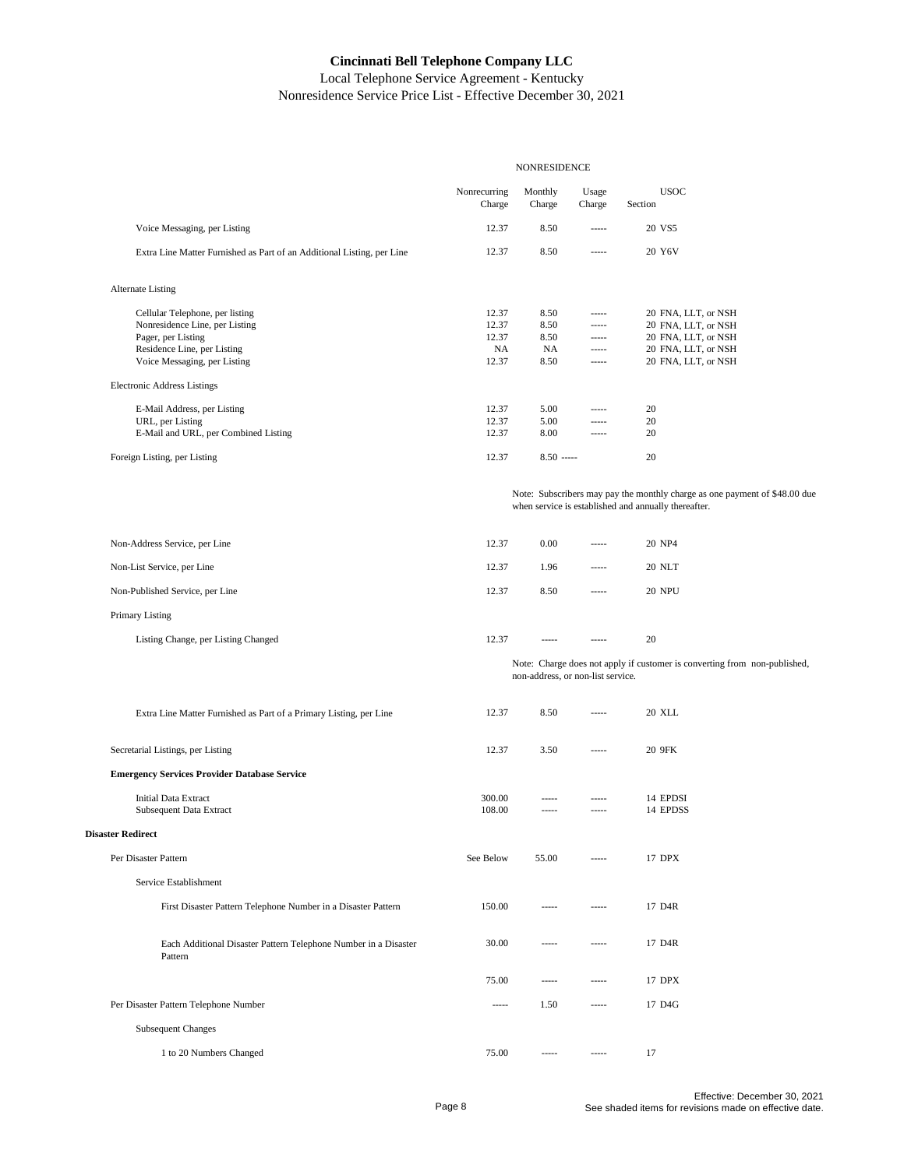|                                                                            |                        | <b>NONRESIDENCE</b>               |                 |                                                                                                                                    |
|----------------------------------------------------------------------------|------------------------|-----------------------------------|-----------------|------------------------------------------------------------------------------------------------------------------------------------|
|                                                                            | Nonrecurring<br>Charge | Monthly<br>Charge                 | Usage<br>Charge | <b>USOC</b><br>Section                                                                                                             |
| Voice Messaging, per Listing                                               | 12.37                  | 8.50                              | -----           | 20 VS5                                                                                                                             |
| Extra Line Matter Furnished as Part of an Additional Listing, per Line     | 12.37                  | 8.50                              | -----           | 20 Y6V                                                                                                                             |
| <b>Alternate Listing</b>                                                   |                        |                                   |                 |                                                                                                                                    |
| Cellular Telephone, per listing                                            | 12.37                  | 8.50                              | -----           | 20 FNA, LLT, or NSH                                                                                                                |
| Nonresidence Line, per Listing<br>Pager, per Listing                       | 12.37<br>12.37         | 8.50<br>8.50                      | -----<br>-----  | 20 FNA, LLT, or NSH<br>20 FNA, LLT, or NSH                                                                                         |
| Residence Line, per Listing                                                | NA                     | NA                                | -----           | 20 FNA, LLT, or NSH                                                                                                                |
| Voice Messaging, per Listing                                               | 12.37                  | 8.50                              | -----           | 20 FNA, LLT, or NSH                                                                                                                |
| <b>Electronic Address Listings</b>                                         |                        |                                   |                 |                                                                                                                                    |
| E-Mail Address, per Listing                                                | 12.37<br>12.37         | 5.00<br>5.00                      | -----<br>-----  | 20<br>20                                                                                                                           |
| URL, per Listing<br>E-Mail and URL, per Combined Listing                   | 12.37                  | 8.00                              | -----           | 20                                                                                                                                 |
| Foreign Listing, per Listing                                               | 12.37                  | $8.50$ -----                      |                 | 20                                                                                                                                 |
|                                                                            |                        |                                   |                 |                                                                                                                                    |
|                                                                            |                        |                                   |                 | Note: Subscribers may pay the monthly charge as one payment of \$48.00 due<br>when service is established and annually thereafter. |
| Non-Address Service, per Line                                              | 12.37                  | 0.00                              | 1.1.1.1         | 20 NP4                                                                                                                             |
| Non-List Service, per Line                                                 | 12.37                  | 1.96                              | -----           | 20 NLT                                                                                                                             |
| Non-Published Service, per Line                                            | 12.37                  | 8.50                              | -----           | <b>20 NPU</b>                                                                                                                      |
|                                                                            |                        |                                   |                 |                                                                                                                                    |
| Primary Listing                                                            |                        |                                   |                 |                                                                                                                                    |
| Listing Change, per Listing Changed                                        | 12.37                  | -----                             | -----           | 20                                                                                                                                 |
|                                                                            |                        | non-address, or non-list service. |                 | Note: Charge does not apply if customer is converting from non-published,                                                          |
| Extra Line Matter Furnished as Part of a Primary Listing, per Line         | 12.37                  | 8.50                              | -----           | <b>20 XLL</b>                                                                                                                      |
| Secretarial Listings, per Listing                                          | 12.37                  | 3.50                              | -----           | 20 9FK                                                                                                                             |
| <b>Emergency Services Provider Database Service</b>                        |                        |                                   |                 |                                                                                                                                    |
| <b>Initial Data Extract</b>                                                | 300.00                 | -----                             | -----           | 14 EPDSI                                                                                                                           |
| Subsequent Data Extract                                                    | 108.00                 | -----                             | -----           | 14 EPDSS                                                                                                                           |
| <b>Disaster Redirect</b>                                                   |                        |                                   |                 |                                                                                                                                    |
| Per Disaster Pattern                                                       | See Below              | 55.00                             | -----           | 17 DPX                                                                                                                             |
| Service Establishment                                                      |                        |                                   |                 |                                                                                                                                    |
| First Disaster Pattern Telephone Number in a Disaster Pattern              | 150.00                 | -----                             | -----           | 17 D4R                                                                                                                             |
| Each Additional Disaster Pattern Telephone Number in a Disaster<br>Pattern | 30.00                  | $100 - 100 - 100$                 | $- - - - -$     | 17 D4R                                                                                                                             |
|                                                                            | 75.00                  | -----                             | -----           | 17 DPX                                                                                                                             |
| Per Disaster Pattern Telephone Number                                      | -----                  | 1.50                              | -----           | 17 D4G                                                                                                                             |
| <b>Subsequent Changes</b>                                                  |                        |                                   |                 |                                                                                                                                    |
| 1 to 20 Numbers Changed                                                    | 75.00                  | -----                             | $- - - - -$     | 17                                                                                                                                 |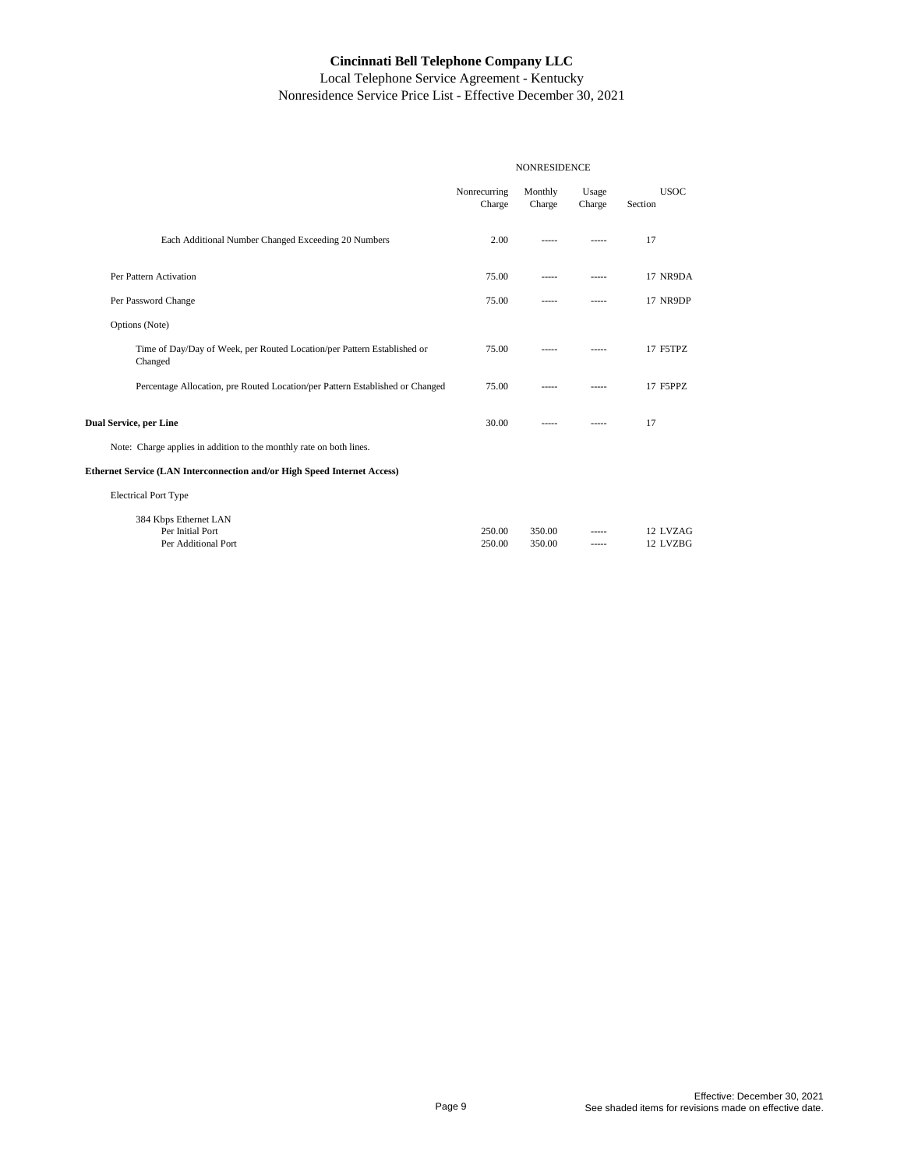|                                                                                    | <b>NONRESIDENCE</b>    |                   |                 |                        |
|------------------------------------------------------------------------------------|------------------------|-------------------|-----------------|------------------------|
|                                                                                    | Nonrecurring<br>Charge | Monthly<br>Charge | Usage<br>Charge | <b>USOC</b><br>Section |
| Each Additional Number Changed Exceeding 20 Numbers                                | 2.00                   | $- - - - -$       | $- - - - -$     | 17                     |
| Per Pattern Activation                                                             | 75.00                  | $- - - - -$       | $- - - - -$     | 17 NR9DA               |
| Per Password Change                                                                | 75.00                  | $- - - - -$       | $- - - - -$     | 17 NR9DP               |
| Options (Note)                                                                     |                        |                   |                 |                        |
| Time of Day/Day of Week, per Routed Location/per Pattern Established or<br>Changed | 75.00                  | $- - - - -$       | $- - - - -$     | 17 F5TPZ               |
| Percentage Allocation, pre Routed Location/per Pattern Established or Changed      | 75.00                  | $- - - - -$       | $- - - - -$     | 17 F5PPZ               |
| Dual Service, per Line                                                             | 30.00                  | $- - - - -$       | $- - - - -$     | 17                     |
| Note: Charge applies in addition to the monthly rate on both lines.                |                        |                   |                 |                        |
| Ethernet Service (LAN Interconnection and/or High Speed Internet Access)           |                        |                   |                 |                        |
| <b>Electrical Port Type</b>                                                        |                        |                   |                 |                        |
| 384 Kbps Ethernet LAN<br>Per Initial Port<br>Per Additional Port                   | 250.00<br>250.00       | 350.00<br>350.00  | $- - - - -$     | 12 LVZAG<br>12 LVZBG   |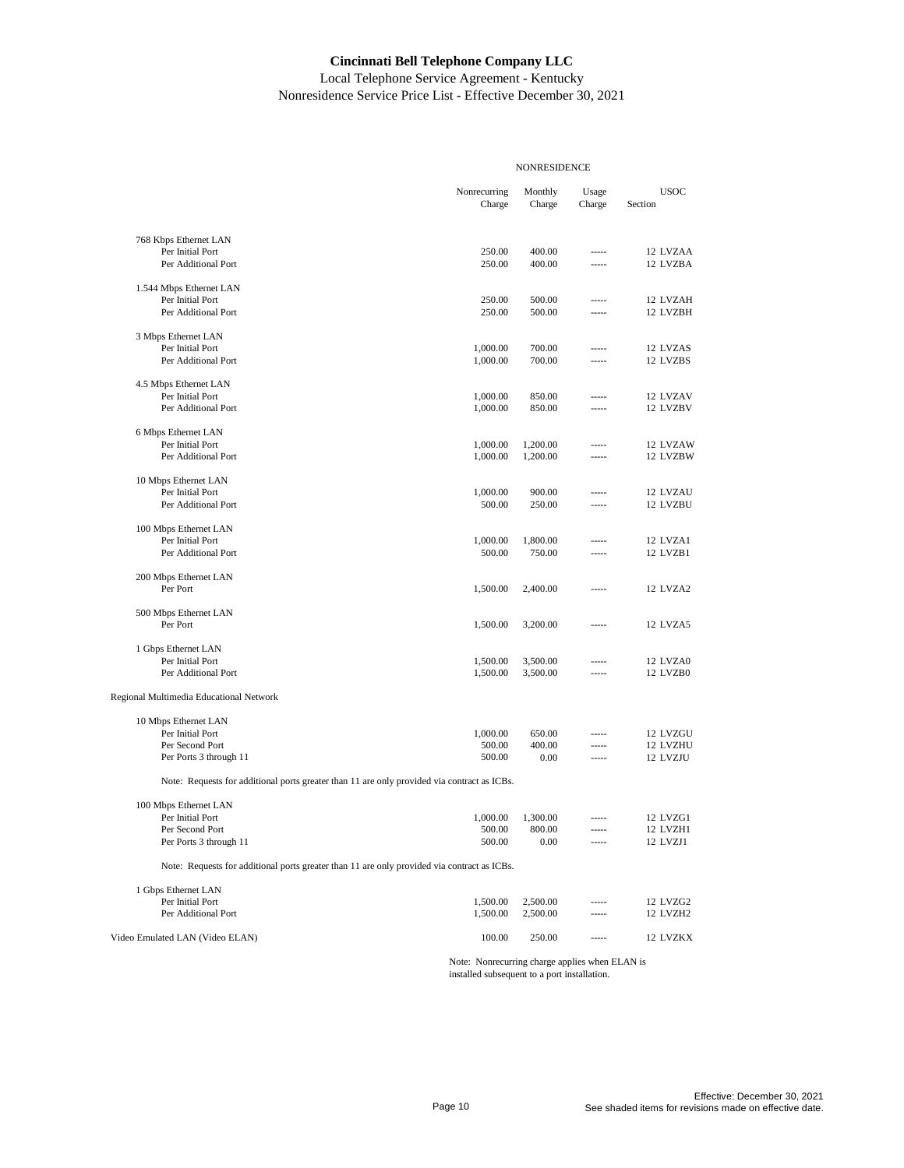Local Telephone Service Agreement - Kentucky Nonresidence Service Price List - Effective December 30, 2021

|                                                                                             | <b>NONRESIDENCE</b>    |                   |                 |                        |  |  |
|---------------------------------------------------------------------------------------------|------------------------|-------------------|-----------------|------------------------|--|--|
|                                                                                             | Nonrecurring<br>Charge | Monthly<br>Charge | Usage<br>Charge | <b>USOC</b><br>Section |  |  |
| 768 Kbps Ethernet LAN                                                                       |                        |                   |                 |                        |  |  |
| Per Initial Port                                                                            | 250.00                 | 400.00            | -----           | 12 LVZAA               |  |  |
| Per Additional Port                                                                         | 250.00                 | 400.00            | -----           | 12 LVZBA               |  |  |
| 1.544 Mbps Ethernet LAN                                                                     |                        |                   |                 |                        |  |  |
| Per Initial Port                                                                            | 250.00                 | 500.00            | -----           | 12 LVZAH               |  |  |
| Per Additional Port                                                                         | 250.00                 | 500.00            | $1 - 1 - 1$     | 12 LVZBH               |  |  |
| 3 Mbps Ethernet LAN                                                                         |                        |                   |                 |                        |  |  |
| Per Initial Port                                                                            | 1,000.00               | 700.00            | -----           | 12 LVZAS               |  |  |
| Per Additional Port                                                                         | 1,000.00               | 700.00            |                 | 12 LVZBS               |  |  |
| 4.5 Mbps Ethernet LAN                                                                       |                        |                   |                 |                        |  |  |
| Per Initial Port                                                                            | 1,000.00               | 850.00            | -----           | 12 LVZAV               |  |  |
| Per Additional Port                                                                         | 1,000.00               | 850.00            | -----           | 12 LVZBV               |  |  |
| 6 Mbps Ethernet LAN                                                                         |                        |                   |                 |                        |  |  |
| Per Initial Port                                                                            | 1,000.00               | 1,200.00          | -----           | 12 LVZAW               |  |  |
| Per Additional Port                                                                         | 1,000.00               | 1,200.00          | -----           | 12 LVZBW               |  |  |
| 10 Mbps Ethernet LAN                                                                        |                        |                   |                 |                        |  |  |
| Per Initial Port                                                                            | 1,000.00               | 900.00            | -----           | 12 LVZAU               |  |  |
| Per Additional Port                                                                         | 500.00                 | 250.00            | -----           | 12 LVZBU               |  |  |
| 100 Mbps Ethernet LAN                                                                       |                        |                   |                 |                        |  |  |
| Per Initial Port                                                                            | 1,000.00               | 1,800.00          | -----           | 12 LVZA1               |  |  |
| Per Additional Port                                                                         | 500.00                 | 750.00            | -----           | 12 LVZB1               |  |  |
| 200 Mbps Ethernet LAN                                                                       |                        |                   |                 |                        |  |  |
| Per Port                                                                                    | 1,500.00               | 2,400.00          | -----           | 12 LVZA2               |  |  |
| 500 Mbps Ethernet LAN                                                                       |                        |                   |                 |                        |  |  |
| Per Port                                                                                    | 1,500.00               | 3,200.00          | -----           | 12 LVZA5               |  |  |
| 1 Gbps Ethernet LAN                                                                         |                        |                   |                 |                        |  |  |
| Per Initial Port                                                                            | 1,500.00               | 3,500.00          |                 | 12 LVZA0               |  |  |
| Per Additional Port                                                                         | 1,500.00               | 3,500.00          | -----           | 12 LVZB0               |  |  |
| Regional Multimedia Educational Network                                                     |                        |                   |                 |                        |  |  |
| 10 Mbps Ethernet LAN                                                                        |                        |                   |                 |                        |  |  |
| Per Initial Port                                                                            | 1,000.00               | 650.00            |                 | 12 LVZGU               |  |  |
| Per Second Port                                                                             | 500.00                 | 400.00            | -----           | 12 LVZHU               |  |  |
| Per Ports 3 through 11                                                                      | 500.00                 | 0.00              | 1.1.1.1         | 12 LVZJU               |  |  |
| Note: Requests for additional ports greater than 11 are only provided via contract as ICBs. |                        |                   |                 |                        |  |  |
| 100 Mbps Ethernet LAN                                                                       |                        |                   |                 |                        |  |  |
| Per Initial Port                                                                            | 1,000.00               | 1,300.00          |                 | 12 LVZG1               |  |  |
| Per Second Port                                                                             | 500.00                 | 800.00            |                 | 12 LVZH1               |  |  |
| Per Ports 3 through 11                                                                      | 500.00                 | 0.00              |                 | 12 LVZJ1               |  |  |
| Note: Requests for additional ports greater than 11 are only provided via contract as ICBs. |                        |                   |                 |                        |  |  |
| 1 Gbps Ethernet LAN                                                                         |                        |                   |                 |                        |  |  |
| Per Initial Port                                                                            | 1,500.00               | 2,500.00          |                 | 12 LVZG2               |  |  |
| Per Additional Port                                                                         | 1,500.00               | 2,500.00          | -----           | 12 LVZH2               |  |  |
| Video Emulated LAN (Video ELAN)                                                             | 100.00                 | 250.00            | -----           | 12 LVZKX               |  |  |
|                                                                                             |                        |                   |                 |                        |  |  |

Note: Nonrecurring charge applies when ELAN is installed subsequent to a port installation.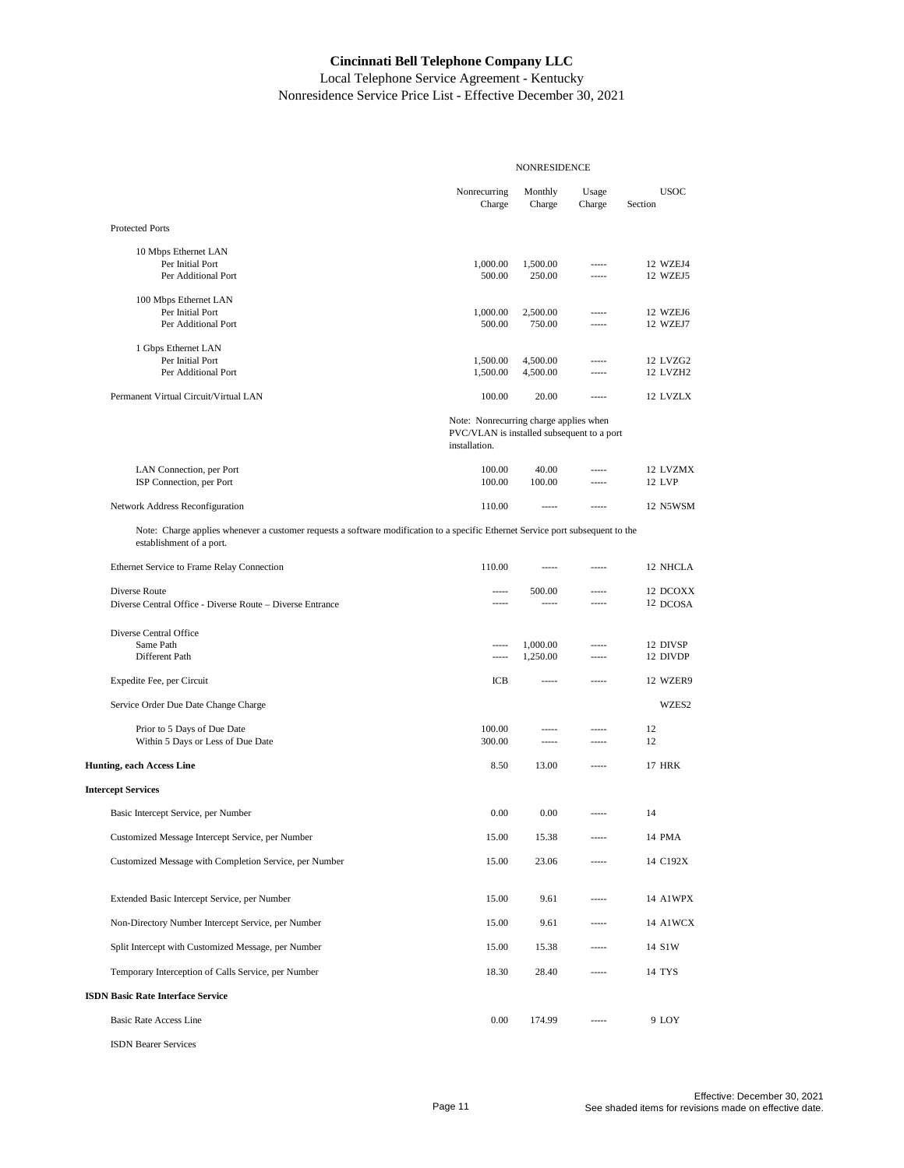|                                                                                                                                                             | <b>NONRESIDENCE</b>                                                                                   |                           |                            |                           |
|-------------------------------------------------------------------------------------------------------------------------------------------------------------|-------------------------------------------------------------------------------------------------------|---------------------------|----------------------------|---------------------------|
|                                                                                                                                                             | Nonrecurring<br>Charge                                                                                | Monthly<br>Charge         | Usage<br>Charge            | <b>USOC</b><br>Section    |
| <b>Protected Ports</b>                                                                                                                                      |                                                                                                       |                           |                            |                           |
| 10 Mbps Ethernet LAN<br>Per Initial Port<br>Per Additional Port                                                                                             | 1,000.00<br>500.00                                                                                    | 1,500.00<br>250.00        | $- - - - -$<br>$1 - 1 - 1$ | 12 WZEJ4<br>12 WZEJ5      |
| 100 Mbps Ethernet LAN<br>Per Initial Port<br>Per Additional Port                                                                                            | 1,000.00<br>500.00                                                                                    | 2,500.00<br>750.00        | -----<br>$100 - 100 = 100$ | 12 WZEJ6<br>12 WZEJ7      |
| 1 Gbps Ethernet LAN<br>Per Initial Port<br>Per Additional Port                                                                                              | 1,500.00<br>1,500.00                                                                                  | 4,500.00<br>4,500.00      | -----<br>$1 - 1 - 1$       | 12 LVZG2<br>12 LVZH2      |
| Permanent Virtual Circuit/Virtual LAN                                                                                                                       | 100.00                                                                                                | 20.00                     | $100 - 100$                | 12 LVZLX                  |
|                                                                                                                                                             | Note: Nonrecurring charge applies when<br>PVC/VLAN is installed subsequent to a port<br>installation. |                           |                            |                           |
| LAN Connection, per Port<br>ISP Connection, per Port                                                                                                        | 100.00<br>100.00                                                                                      | 40.00<br>100.00           | $1 - 1 - 1$<br>-----       | 12 LVZMX<br><b>12 LVP</b> |
| Network Address Reconfiguration                                                                                                                             | 110.00                                                                                                | $1 - 1 - 1 - 1 = 0$       | $100 - 100 = 100$          | 12 N5WSM                  |
| Note: Charge applies whenever a customer requests a software modification to a specific Ethernet Service port subsequent to the<br>establishment of a port. |                                                                                                       |                           |                            |                           |
| Ethernet Service to Frame Relay Connection                                                                                                                  | 110.00                                                                                                | 1.111                     | $1 - 1 - 1$                | 12 NHCLA                  |
| Diverse Route<br>Diverse Central Office - Diverse Route - Diverse Entrance                                                                                  | -----<br>-----                                                                                        | 500.00<br>$1 - 1 - 1 = 1$ | $1 - 1 - 1$<br>$1 - 1 - 1$ | 12 DCOXX<br>12 DCOSA      |
| Diverse Central Office<br>Same Path<br>Different Path                                                                                                       | -----<br>-----                                                                                        | 1,000.00<br>1,250.00      | $100 - 100 = 100$<br>----- | 12 DIVSP<br>12 DIVDP      |
| Expedite Fee, per Circuit                                                                                                                                   | ICB                                                                                                   | -----                     | -----                      | 12 WZER9                  |
| Service Order Due Date Change Charge                                                                                                                        |                                                                                                       |                           |                            | WZES2                     |
| Prior to 5 Days of Due Date<br>Within 5 Days or Less of Due Date                                                                                            | 100.00<br>300.00                                                                                      | -----<br>-----            | -----<br>-----             | 12<br>12                  |
| <b>Hunting, each Access Line</b>                                                                                                                            | 8.50                                                                                                  | 13.00                     | -----                      | <b>17 HRK</b>             |
| <b>Intercept Services</b>                                                                                                                                   |                                                                                                       |                           |                            |                           |
| Basic Intercept Service, per Number                                                                                                                         | 0.00                                                                                                  | 0.00                      | $100 - 100 = 100$          | 14                        |
| Customized Message Intercept Service, per Number                                                                                                            | 15.00                                                                                                 | 15.38                     |                            | 14 PMA                    |
| Customized Message with Completion Service, per Number                                                                                                      | 15.00                                                                                                 | 23.06                     |                            | 14 C192X                  |
| Extended Basic Intercept Service, per Number                                                                                                                | 15.00                                                                                                 | 9.61                      |                            | 14 A1WPX                  |
| Non-Directory Number Intercept Service, per Number                                                                                                          | 15.00                                                                                                 | 9.61                      | -----                      | 14 A1WCX                  |
| Split Intercept with Customized Message, per Number                                                                                                         | 15.00                                                                                                 | 15.38                     | -----                      | 14 S1W                    |
| Temporary Interception of Calls Service, per Number                                                                                                         | 18.30                                                                                                 | 28.40                     | -----                      | 14 TYS                    |
| <b>ISDN Basic Rate Interface Service</b>                                                                                                                    |                                                                                                       |                           |                            |                           |
| <b>Basic Rate Access Line</b>                                                                                                                               | 0.00                                                                                                  | 174.99                    |                            | 9 LOY                     |
| <b>ISDN</b> Bearer Services                                                                                                                                 |                                                                                                       |                           |                            |                           |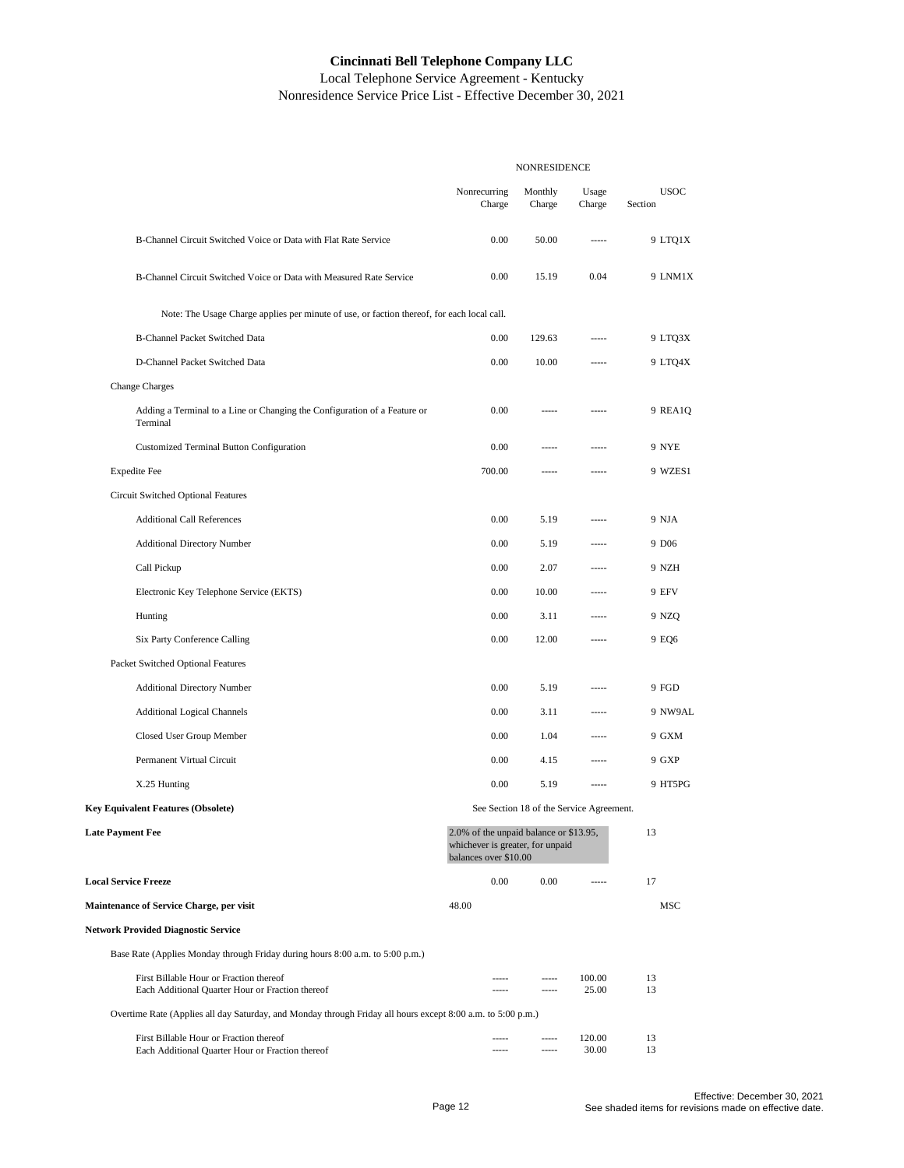Local Telephone Service Agreement - Kentucky Nonresidence Service Price List - Effective December 30, 2021

|                                                                                                             | NONRESIDENCE                                                                                        |                      |                                          |                        |
|-------------------------------------------------------------------------------------------------------------|-----------------------------------------------------------------------------------------------------|----------------------|------------------------------------------|------------------------|
|                                                                                                             | Nonrecurring<br>Charge                                                                              | Monthly<br>Charge    | Usage<br>Charge                          | <b>USOC</b><br>Section |
| B-Channel Circuit Switched Voice or Data with Flat Rate Service                                             | 0.00                                                                                                | 50.00                | -----                                    | 9 LTQ1X                |
| B-Channel Circuit Switched Voice or Data with Measured Rate Service                                         | 0.00                                                                                                | 15.19                | 0.04                                     | 9 LNM1X                |
| Note: The Usage Charge applies per minute of use, or faction thereof, for each local call.                  |                                                                                                     |                      |                                          |                        |
| <b>B-Channel Packet Switched Data</b>                                                                       | 0.00                                                                                                | 129.63               | -----                                    | 9 LTQ3X                |
| D-Channel Packet Switched Data                                                                              | 0.00                                                                                                | 10.00                | -----                                    | 9 LTO4X                |
| <b>Change Charges</b>                                                                                       |                                                                                                     |                      |                                          |                        |
| Adding a Terminal to a Line or Changing the Configuration of a Feature or<br>Terminal                       | 0.00                                                                                                | -----                | -----                                    | 9 REA1Q                |
| Customized Terminal Button Configuration                                                                    | 0.00                                                                                                | -----                | -----                                    | 9 NYE                  |
| <b>Expedite Fee</b>                                                                                         | 700.00                                                                                              | -----                | -----                                    | 9 WZES1                |
| Circuit Switched Optional Features                                                                          |                                                                                                     |                      |                                          |                        |
| <b>Additional Call References</b>                                                                           | 0.00                                                                                                | 5.19                 | -----                                    | 9 NJA                  |
| <b>Additional Directory Number</b>                                                                          | 0.00                                                                                                | 5.19                 | -----                                    | 9 D <sub>06</sub>      |
| Call Pickup                                                                                                 | 0.00                                                                                                | 2.07                 | -----                                    | 9 NZH                  |
| Electronic Key Telephone Service (EKTS)                                                                     | 0.00                                                                                                | 10.00                | -----                                    | 9 EFV                  |
| Hunting                                                                                                     | 0.00                                                                                                | 3.11                 | -----                                    | 9 NZQ                  |
| Six Party Conference Calling                                                                                | 0.00                                                                                                | 12.00                | -----                                    | 9 EQ6                  |
| Packet Switched Optional Features                                                                           |                                                                                                     |                      |                                          |                        |
| <b>Additional Directory Number</b>                                                                          | 0.00                                                                                                | 5.19                 | -----                                    | 9 FGD                  |
| <b>Additional Logical Channels</b>                                                                          | 0.00                                                                                                | 3.11                 | -----                                    | 9 NW9AL                |
| Closed User Group Member                                                                                    | 0.00                                                                                                | 1.04                 | -----                                    | 9 GXM                  |
| Permanent Virtual Circuit                                                                                   | 0.00                                                                                                | 4.15                 | -----                                    | 9 GXP                  |
| X.25 Hunting                                                                                                | 0.00                                                                                                | 5.19                 | -----                                    | 9 HT5PG                |
| <b>Key Equivalent Features (Obsolete)</b>                                                                   |                                                                                                     |                      | See Section 18 of the Service Agreement. |                        |
| <b>Late Payment Fee</b>                                                                                     | 2.0% of the unpaid balance or \$13.95,<br>whichever is greater, for unpaid<br>balances over \$10.00 |                      |                                          | 13                     |
| <b>Local Service Freeze</b>                                                                                 | 0.00                                                                                                | 0.00                 | -----                                    | 17                     |
| Maintenance of Service Charge, per visit                                                                    | 48.00                                                                                               |                      |                                          | MSC                    |
| <b>Network Provided Diagnostic Service</b>                                                                  |                                                                                                     |                      |                                          |                        |
| Base Rate (Applies Monday through Friday during hours 8:00 a.m. to 5:00 p.m.)                               |                                                                                                     |                      |                                          |                        |
| First Billable Hour or Fraction thereof<br>Each Additional Quarter Hour or Fraction thereof                 |                                                                                                     | -----<br>-----       | 100.00<br>25.00                          | 13<br>13               |
| Overtime Rate (Applies all day Saturday, and Monday through Friday all hours except 8:00 a.m. to 5:00 p.m.) |                                                                                                     |                      |                                          |                        |
| First Billable Hour or Fraction thereof<br>Each Additional Quarter Hour or Fraction thereof                 | -----<br>-----                                                                                      | -----<br>$- - - - -$ | 120.00<br>30.00                          | 13<br>13               |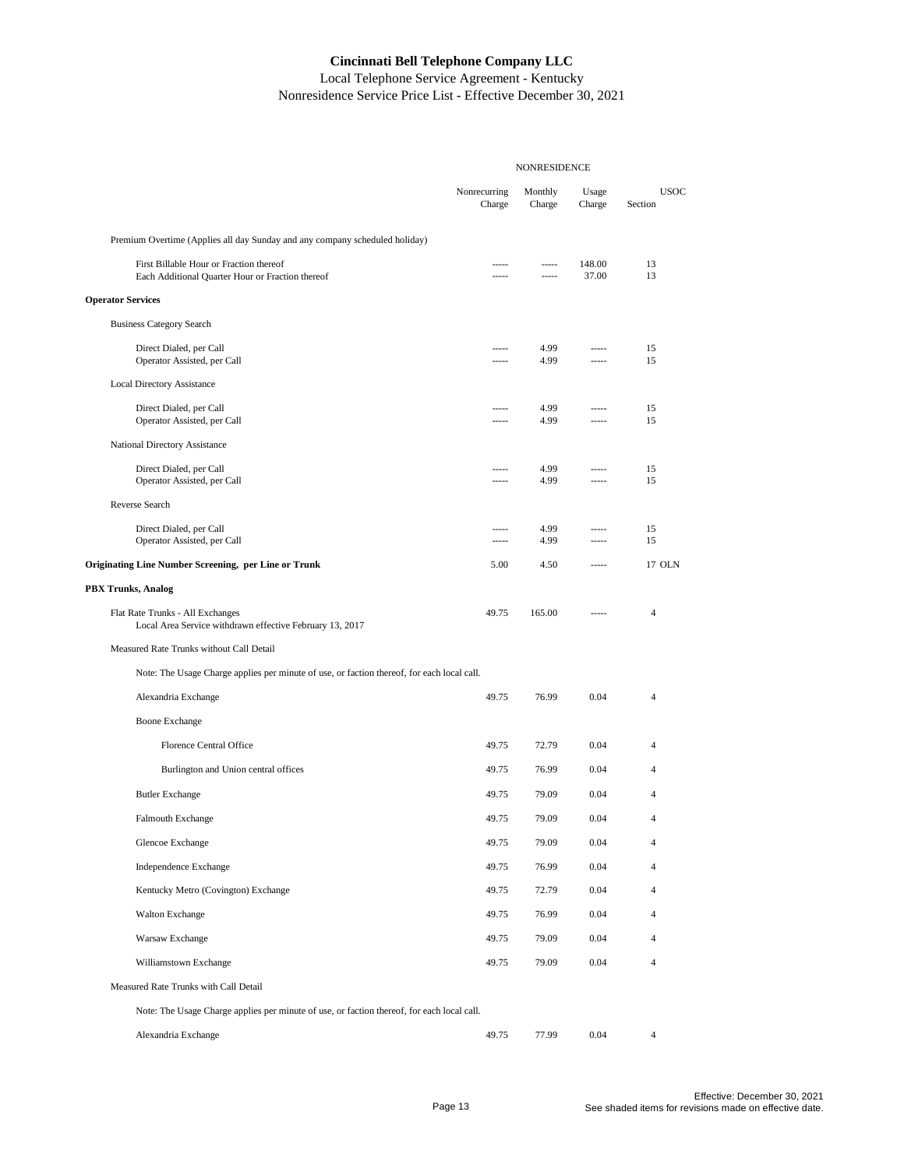|                                                                                              | <b>NONRESIDENCE</b>    |                      |                      |                        |
|----------------------------------------------------------------------------------------------|------------------------|----------------------|----------------------|------------------------|
|                                                                                              | Nonrecurring<br>Charge | Monthly<br>Charge    | Usage<br>Charge      | <b>USOC</b><br>Section |
| Premium Overtime (Applies all day Sunday and any company scheduled holiday)                  |                        |                      |                      |                        |
| First Billable Hour or Fraction thereof<br>Each Additional Quarter Hour or Fraction thereof  | -----                  | -----<br>$- - - - -$ | 148.00<br>37.00      | 13<br>13               |
| <b>Operator Services</b>                                                                     |                        |                      |                      |                        |
| <b>Business Category Search</b>                                                              |                        |                      |                      |                        |
| Direct Dialed, per Call<br>Operator Assisted, per Call                                       | -----<br>.             | 4.99<br>4.99         | -----<br>-----       | 15<br>15               |
| <b>Local Directory Assistance</b>                                                            |                        |                      |                      |                        |
| Direct Dialed, per Call<br>Operator Assisted, per Call                                       | -----<br>-----         | 4.99<br>4.99         | $1 - 1 - 1$<br>----- | 15<br>15               |
| National Directory Assistance                                                                |                        |                      |                      |                        |
| Direct Dialed, per Call<br>Operator Assisted, per Call                                       | -----<br>-----         | 4.99<br>4.99         | -----<br>-----       | 15<br>15               |
| Reverse Search                                                                               |                        |                      |                      |                        |
| Direct Dialed, per Call<br>Operator Assisted, per Call                                       | -----                  | 4.99<br>4.99         | $1 - 1 - 1$          | 15<br>15               |
| <b>Originating Line Number Screening, per Line or Trunk</b>                                  | 5.00                   | 4.50                 | -----                | 17 OLN                 |
| <b>PBX Trunks, Analog</b>                                                                    |                        |                      |                      |                        |
| Flat Rate Trunks - All Exchanges<br>Local Area Service withdrawn effective February 13, 2017 | 49.75                  | 165.00               | -----                | 4                      |
| Measured Rate Trunks without Call Detail                                                     |                        |                      |                      |                        |
| Note: The Usage Charge applies per minute of use, or faction thereof, for each local call.   |                        |                      |                      |                        |
| Alexandria Exchange                                                                          | 49.75                  | 76.99                | 0.04                 | $\overline{4}$         |
| <b>Boone Exchange</b>                                                                        |                        |                      |                      |                        |
| <b>Florence Central Office</b>                                                               | 49.75                  | 72.79                | 0.04                 | 4                      |
| Burlington and Union central offices                                                         | 49.75                  | 76.99                | 0.04                 | 4                      |
| <b>Butler Exchange</b>                                                                       | 49.75                  | 79.09                | 0.04                 | 4                      |
| Falmouth Exchange                                                                            | 49.75                  | 79.09                | 0.04                 | $\overline{4}$         |
| Glencoe Exchange                                                                             | 49.75                  | 79.09                | 0.04                 | $\overline{4}$         |
| Independence Exchange                                                                        | 49.75                  | 76.99                | 0.04                 | $\overline{4}$         |
| Kentucky Metro (Covington) Exchange                                                          | 49.75                  | 72.79                | 0.04                 | $\overline{4}$         |
| <b>Walton Exchange</b>                                                                       | 49.75                  | 76.99                | 0.04                 | $\overline{4}$         |
| Warsaw Exchange                                                                              | 49.75                  | 79.09                | 0.04                 | $\overline{4}$         |
| Williamstown Exchange                                                                        | 49.75                  | 79.09                | 0.04                 | $\overline{4}$         |
| Measured Rate Trunks with Call Detail                                                        |                        |                      |                      |                        |
| Note: The Usage Charge applies per minute of use, or faction thereof, for each local call.   |                        |                      |                      |                        |
| Alexandria Exchange                                                                          | 49.75                  | 77.99                | 0.04                 | $\overline{4}$         |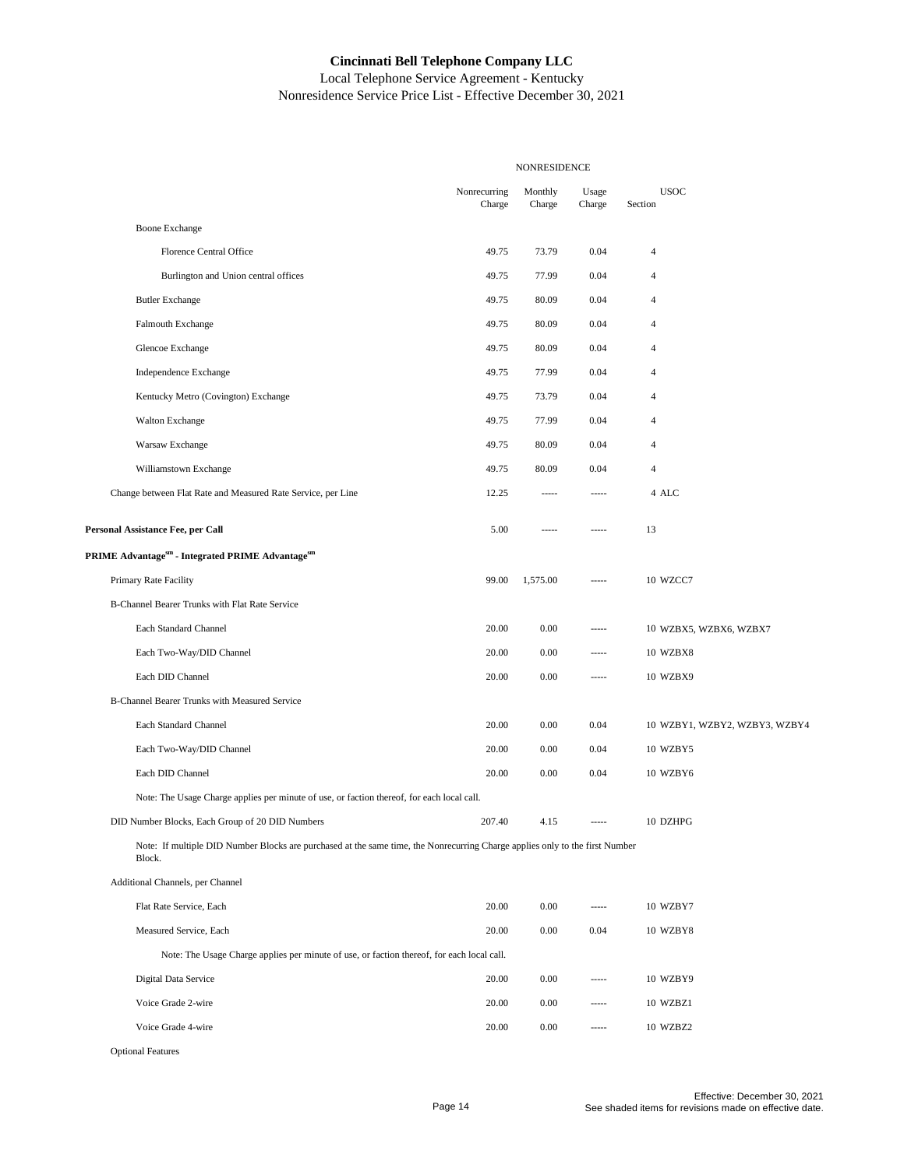|                                                                                                                                        |                        | NONRESIDENCE      |                 |                               |
|----------------------------------------------------------------------------------------------------------------------------------------|------------------------|-------------------|-----------------|-------------------------------|
|                                                                                                                                        | Nonrecurring<br>Charge | Monthly<br>Charge | Usage<br>Charge | <b>USOC</b><br>Section        |
| <b>Boone Exchange</b>                                                                                                                  |                        |                   |                 |                               |
| <b>Florence Central Office</b>                                                                                                         | 49.75                  | 73.79             | 0.04            | $\overline{4}$                |
| Burlington and Union central offices                                                                                                   | 49.75                  | 77.99             | 0.04            | $\overline{4}$                |
| <b>Butler Exchange</b>                                                                                                                 | 49.75                  | 80.09             | 0.04            | 4                             |
| Falmouth Exchange                                                                                                                      | 49.75                  | 80.09             | 0.04            | $\overline{4}$                |
| Glencoe Exchange                                                                                                                       | 49.75                  | 80.09             | 0.04            | $\overline{4}$                |
| Independence Exchange                                                                                                                  | 49.75                  | 77.99             | 0.04            | $\overline{4}$                |
| Kentucky Metro (Covington) Exchange                                                                                                    | 49.75                  | 73.79             | 0.04            | 4                             |
| <b>Walton Exchange</b>                                                                                                                 | 49.75                  | 77.99             | 0.04            | $\overline{4}$                |
| Warsaw Exchange                                                                                                                        | 49.75                  | 80.09             | 0.04            | 4                             |
| Williamstown Exchange                                                                                                                  | 49.75                  | 80.09             | 0.04            | $\overline{4}$                |
| Change between Flat Rate and Measured Rate Service, per Line                                                                           | 12.25                  | -----             | -----           | 4 ALC                         |
| Personal Assistance Fee, per Call                                                                                                      | 5.00                   | -----             | $1 - 1 - 1$     | 13                            |
| PRIME Advantage <sup>sm</sup> - Integrated PRIME Advantage <sup>sm</sup>                                                               |                        |                   |                 |                               |
| Primary Rate Facility                                                                                                                  | 99.00                  | 1,575.00          |                 | 10 WZCC7                      |
| B-Channel Bearer Trunks with Flat Rate Service                                                                                         |                        |                   |                 |                               |
| Each Standard Channel                                                                                                                  | 20.00                  | 0.00              | -----           | 10 WZBX5, WZBX6, WZBX7        |
| Each Two-Way/DID Channel                                                                                                               | 20.00                  | 0.00              | -----           | 10 WZBX8                      |
| Each DID Channel                                                                                                                       | 20.00                  | 0.00              | -----           | 10 WZBX9                      |
| B-Channel Bearer Trunks with Measured Service                                                                                          |                        |                   |                 |                               |
| Each Standard Channel                                                                                                                  | 20.00                  | 0.00              | 0.04            | 10 WZBY1, WZBY2, WZBY3, WZBY4 |
| Each Two-Way/DID Channel                                                                                                               | 20.00                  | 0.00              | 0.04            | 10 WZBY5                      |
| Each DID Channel                                                                                                                       | 20.00                  | 0.00              | 0.04            | 10 WZBY6                      |
| Note: The Usage Charge applies per minute of use, or faction thereof, for each local call.                                             |                        |                   |                 |                               |
| DID Number Blocks, Each Group of 20 DID Numbers                                                                                        | 207.40                 | 4.15              |                 | 10 DZHPG                      |
| Note: If multiple DID Number Blocks are purchased at the same time, the Nonrecurring Charge applies only to the first Number<br>Block. |                        |                   |                 |                               |
| Additional Channels, per Channel                                                                                                       |                        |                   |                 |                               |
| Flat Rate Service, Each                                                                                                                | 20.00                  | 0.00              | -----           | 10 WZBY7                      |
| Measured Service, Each                                                                                                                 | 20.00                  | 0.00              | 0.04            | 10 WZBY8                      |
| Note: The Usage Charge applies per minute of use, or faction thereof, for each local call.                                             |                        |                   |                 |                               |
| Digital Data Service                                                                                                                   | 20.00                  | 0.00              | -----           | 10 WZBY9                      |
| Voice Grade 2-wire                                                                                                                     | 20.00                  | 0.00              | -----           | 10 WZBZ1                      |
| Voice Grade 4-wire                                                                                                                     | 20.00                  | 0.00              | -----           | 10 WZBZ2                      |
| <b>Optional Features</b>                                                                                                               |                        |                   |                 |                               |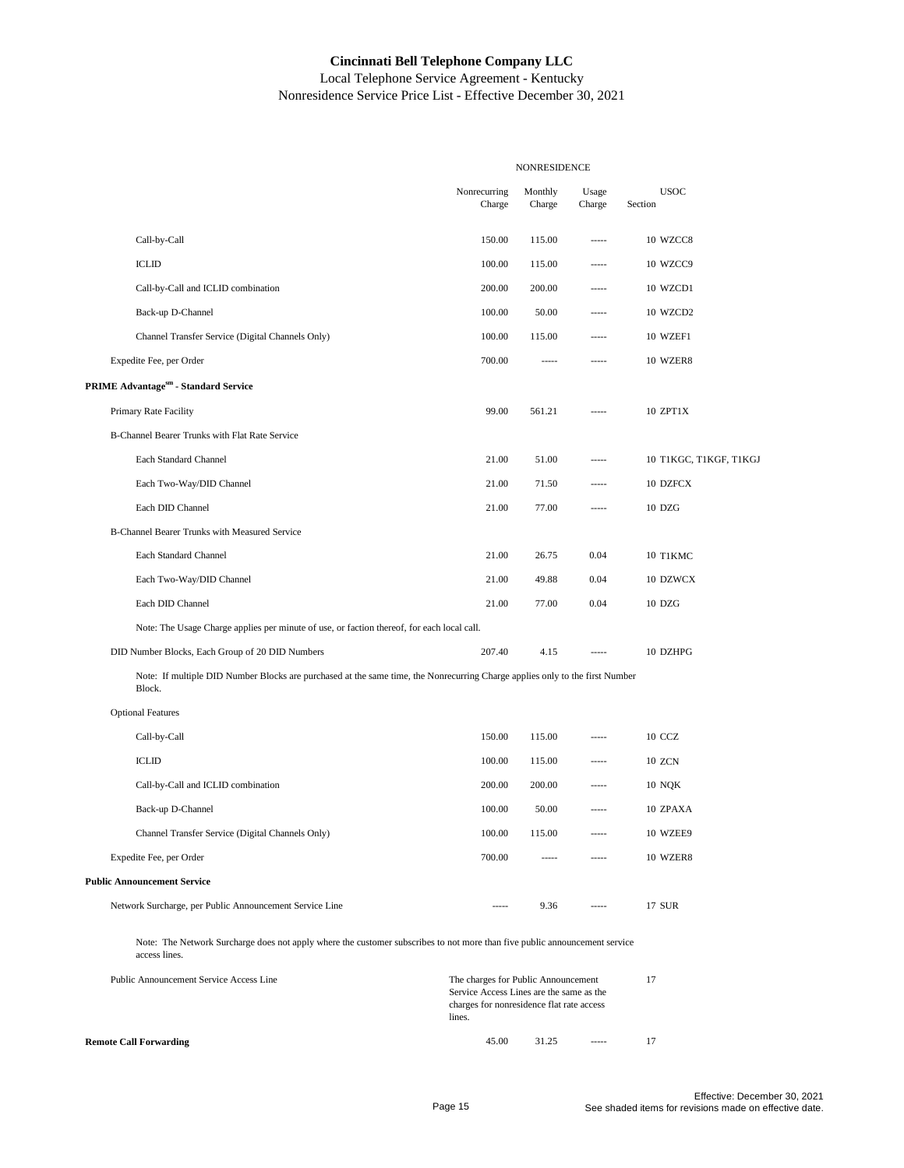|                                                                                                                                             |                                                                                                                                        | NONRESIDENCE      |                   |                        |  |
|---------------------------------------------------------------------------------------------------------------------------------------------|----------------------------------------------------------------------------------------------------------------------------------------|-------------------|-------------------|------------------------|--|
|                                                                                                                                             | Nonrecurring<br>Charge                                                                                                                 | Monthly<br>Charge | Usage<br>Charge   | <b>USOC</b><br>Section |  |
| Call-by-Call                                                                                                                                | 150.00                                                                                                                                 | 115.00            | -----             | 10 WZCC8               |  |
| <b>ICLID</b>                                                                                                                                | 100.00                                                                                                                                 | 115.00            | -----             | 10 WZCC9               |  |
| Call-by-Call and ICLID combination                                                                                                          | 200.00                                                                                                                                 | 200.00            |                   | 10 WZCD1               |  |
| Back-up D-Channel                                                                                                                           | 100.00                                                                                                                                 | 50.00             | -----             | 10 WZCD2               |  |
| Channel Transfer Service (Digital Channels Only)                                                                                            | 100.00                                                                                                                                 | 115.00            | -----             | 10 WZEF1               |  |
| Expedite Fee, per Order                                                                                                                     | 700.00                                                                                                                                 | -----             | $100 - 100 - 100$ | 10 WZER8               |  |
| PRIME Advantagesm - Standard Service                                                                                                        |                                                                                                                                        |                   |                   |                        |  |
| Primary Rate Facility                                                                                                                       | 99.00                                                                                                                                  | 561.21            | $- - - - -$       | 10 ZPT1X               |  |
| B-Channel Bearer Trunks with Flat Rate Service                                                                                              |                                                                                                                                        |                   |                   |                        |  |
| Each Standard Channel                                                                                                                       | 21.00                                                                                                                                  | 51.00             | -----             | 10 T1KGC, T1KGF, T1KGJ |  |
| Each Two-Way/DID Channel                                                                                                                    | 21.00                                                                                                                                  | 71.50             | -----             | 10 DZFCX               |  |
| Each DID Channel                                                                                                                            | 21.00                                                                                                                                  | 77.00             | -----             | 10 DZG                 |  |
| B-Channel Bearer Trunks with Measured Service                                                                                               |                                                                                                                                        |                   |                   |                        |  |
| Each Standard Channel                                                                                                                       | 21.00                                                                                                                                  | 26.75             | 0.04              | 10 T1KMC               |  |
| Each Two-Way/DID Channel                                                                                                                    | 21.00                                                                                                                                  | 49.88             | 0.04              | 10 DZWCX               |  |
| Each DID Channel                                                                                                                            | 21.00                                                                                                                                  | 77.00             | 0.04              | 10 DZG                 |  |
| Note: The Usage Charge applies per minute of use, or faction thereof, for each local call.                                                  |                                                                                                                                        |                   |                   |                        |  |
| DID Number Blocks, Each Group of 20 DID Numbers                                                                                             | 207.40                                                                                                                                 | 4.15              | $100 - 100 - 100$ | 10 DZHPG               |  |
| Note: If multiple DID Number Blocks are purchased at the same time, the Nonrecurring Charge applies only to the first Number<br>Block.      |                                                                                                                                        |                   |                   |                        |  |
| <b>Optional Features</b>                                                                                                                    |                                                                                                                                        |                   |                   |                        |  |
| Call-by-Call                                                                                                                                | 150.00                                                                                                                                 | 115.00            | -----             | 10 CCZ                 |  |
| <b>ICLID</b>                                                                                                                                | 100.00                                                                                                                                 | 115.00            | -----             | 10 ZCN                 |  |
| Call-by-Call and ICLID combination                                                                                                          | 200.00                                                                                                                                 | 200.00            | -----             | <b>10 NQK</b>          |  |
| Back-up D-Channel                                                                                                                           | 100.00                                                                                                                                 | 50.00             | -----             | 10 ZPAXA               |  |
| Channel Transfer Service (Digital Channels Only)                                                                                            | 100.00                                                                                                                                 | 115.00            | -----             | 10 WZEE9               |  |
| Expedite Fee, per Order                                                                                                                     | 700.00                                                                                                                                 | -----             |                   | 10 WZER8               |  |
| <b>Public Announcement Service</b>                                                                                                          |                                                                                                                                        |                   |                   |                        |  |
| Network Surcharge, per Public Announcement Service Line                                                                                     | -----                                                                                                                                  | 9.36              | -----             | 17 SUR                 |  |
| Note: The Network Surcharge does not apply where the customer subscribes to not more than five public announcement service<br>access lines. |                                                                                                                                        |                   |                   |                        |  |
| Public Announcement Service Access Line                                                                                                     | The charges for Public Announcement<br>Service Access Lines are the same as the<br>charges for nonresidence flat rate access<br>lines. |                   |                   | 17                     |  |
| <b>Remote Call Forwarding</b>                                                                                                               | 45.00                                                                                                                                  | 31.25             | 1.1.1.1           | 17                     |  |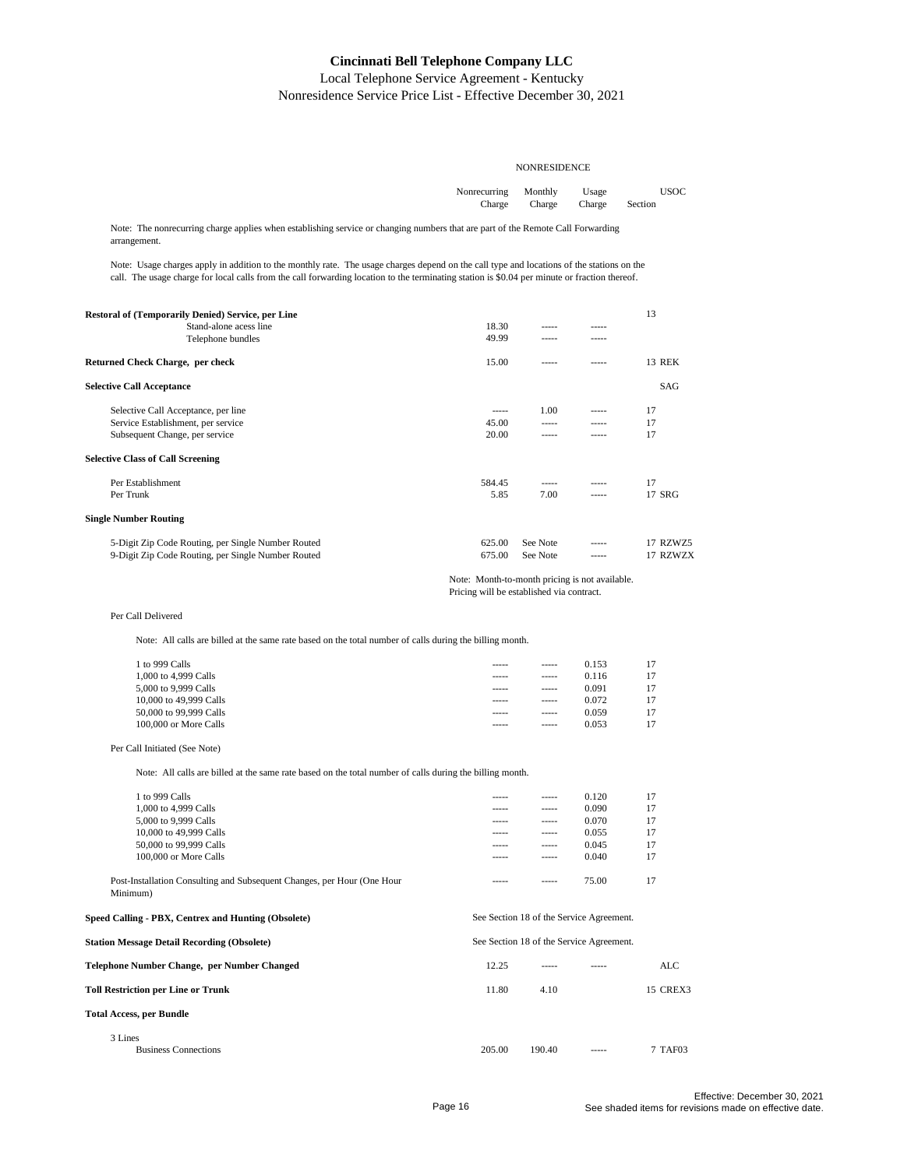Local Telephone Service Agreement - Kentucky Nonresidence Service Price List - Effective December 30, 2021

| Nonrecurring Monthly Usage |                              | <b>USOC</b> |
|----------------------------|------------------------------|-------------|
|                            | Charge Charge Charge Section |             |

Note: The nonrecurring charge applies when establishing service or changing numbers that are part of the Remote Call Forwarding arrangement.

Note: Usage charges apply in addition to the monthly rate. The usage charges depend on the call type and locations of the stations on the call. The usage charge for local calls from the call forwarding location to the terminating station is \$0.04 per minute or fraction thereof.

| <b>Restoral of (Temporarily Denied) Service, per Line</b> |        |          |       | 13            |
|-----------------------------------------------------------|--------|----------|-------|---------------|
| Stand-alone acess line                                    | 18.30  | -----    | ----- |               |
| Telephone bundles                                         | 49.99  | -----    | ----- |               |
| Returned Check Charge, per check                          | 15.00  | -----    | ----- | <b>13 REK</b> |
| <b>Selective Call Acceptance</b>                          |        |          |       | SAG           |
| Selective Call Acceptance, per line                       | -----  | 1.00     | ----- | 17            |
| Service Establishment, per service                        | 45.00  | -----    | ----- | 17            |
| Subsequent Change, per service                            | 20.00  | -----    | ----- | 17            |
| <b>Selective Class of Call Screening</b>                  |        |          |       |               |
| Per Establishment                                         | 584.45 | -----    |       | 17            |
| Per Trunk                                                 | 5.85   | 7.00     | ----- | 17 SRG        |
| <b>Single Number Routing</b>                              |        |          |       |               |
| 5-Digit Zip Code Routing, per Single Number Routed        | 625.00 | See Note |       | 17 RZWZ5      |
| 9-Digit Zip Code Routing, per Single Number Routed        | 675.00 | See Note | ----- | 17 RZWZX      |

#### Note: Month-to-month pricing is not available.

Pricing will be established via contract.

#### Per Call Delivered

Note: All calls are billed at the same rate based on the total number of calls during the billing month.

| 1 to 999 Calls         | ----- | ----- | 0.153 |  |
|------------------------|-------|-------|-------|--|
| 1,000 to 4,999 Calls   | ----- | ----- | 0.116 |  |
| 5,000 to 9,999 Calls   | ----- | ----- | 0.091 |  |
| 10,000 to 49,999 Calls | ----- | ----- | 0.072 |  |
| 50,000 to 99,999 Calls | ----- | ----- | 0.059 |  |
| 100,000 or More Calls  | ----- | ----- | 0.053 |  |
|                        |       |       |       |  |

#### Per Call Initiated (See Note)

Note: All calls are billed at the same rate based on the total number of calls during the billing month.

| 1 to 999 Calls                                                                      | ----- | ----- | 0.120 | 17 |
|-------------------------------------------------------------------------------------|-------|-------|-------|----|
| 1,000 to 4,999 Calls                                                                | ----- | ----- | 0.090 | 17 |
| 5,000 to 9,999 Calls                                                                | ----- | ----- | 0.070 | 17 |
| 10,000 to 49,999 Calls                                                              | ----- | ----- | 0.055 | 17 |
| 50,000 to 99,999 Calls                                                              | ----- | ----- | 0.045 | 17 |
| 100,000 or More Calls                                                               | ----- | ----- | 0.040 | 17 |
| Post-Installation Consulting and Subsequent Changes, per Hour (One Hour<br>Minimum) | ----- | ----- | 75.00 | 17 |

**Speed Calling - PBX, Centrex and Hunting (Obsolete) Station Message Detail Recording (Obsolete) Telephone Number Change, per Number Changed** 12.25 ----- ----- ALC **Toll Restriction per Line or Trunk** 11.80 4.10 15 CREX3 **Total Access, per Bundle** 3 Lines Business Connections 205.00 190.40 ----- 7 TAF03 See Section 18 of the Service Agreement. See Section 18 of the Service Agreement.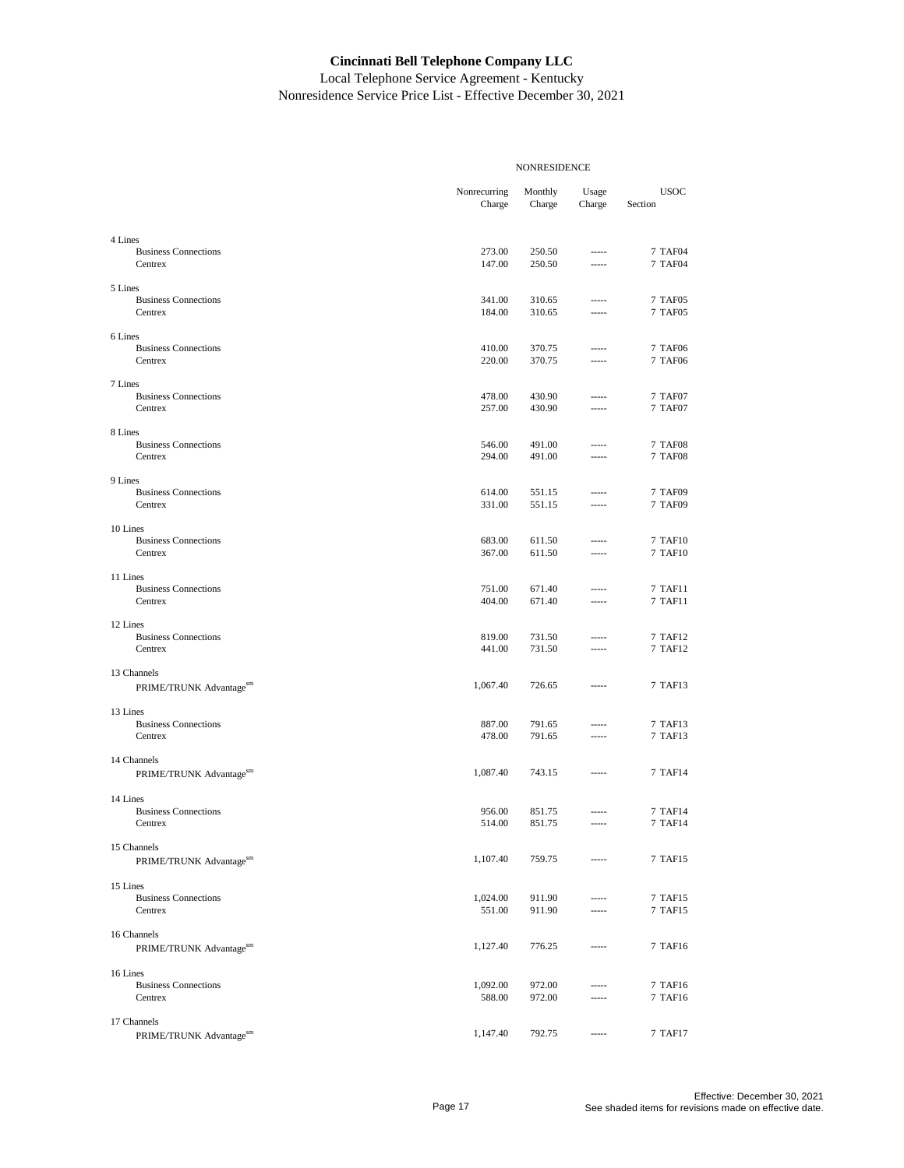|                                         |                        | <b>NONRESIDENCE</b> |                 |                                  |
|-----------------------------------------|------------------------|---------------------|-----------------|----------------------------------|
|                                         | Nonrecurring<br>Charge | Monthly<br>Charge   | Usage<br>Charge | <b>USOC</b><br>Section           |
| 4 Lines                                 |                        |                     |                 |                                  |
| <b>Business Connections</b><br>Centrex  | 273.00<br>147.00       | 250.50<br>250.50    | -----<br>-----  | 7 TAF04<br><b>7 TAF04</b>        |
| 5 Lines                                 |                        |                     |                 |                                  |
| <b>Business Connections</b><br>Centrex  | 341.00<br>184.00       | 310.65<br>310.65    | -----<br>-----  | 7 TAF05<br>7 TAF05               |
| 6 Lines                                 |                        |                     |                 |                                  |
| <b>Business Connections</b><br>Centrex  | 410.00<br>220.00       | 370.75<br>370.75    | -----<br>-----  | <b>7 TAF06</b><br>7 TAF06        |
| 7 Lines                                 |                        |                     |                 |                                  |
| <b>Business Connections</b><br>Centrex  | 478.00<br>257.00       | 430.90<br>430.90    | -----<br>-----  | 7 TAF07<br>7 TAF07               |
| 8 Lines                                 |                        |                     |                 |                                  |
| <b>Business Connections</b><br>Centrex  | 546.00<br>294.00       | 491.00<br>491.00    | -----<br>-----  | <b>7 TAF08</b><br><b>7 TAF08</b> |
| 9 Lines                                 |                        |                     |                 |                                  |
| <b>Business Connections</b>             | 614.00                 | 551.15              | -----           | 7 TAF09                          |
| Centrex                                 | 331.00                 | 551.15              | -----           | <b>7 TAF09</b>                   |
| 10 Lines                                |                        |                     |                 |                                  |
| <b>Business Connections</b><br>Centrex  | 683.00<br>367.00       | 611.50<br>611.50    | -----<br>-----  | 7 TAF10<br>7 TAF10               |
| 11 Lines                                |                        |                     |                 |                                  |
| <b>Business Connections</b><br>Centrex  | 751.00<br>404.00       | 671.40<br>671.40    | -----<br>-----  | 7 TAF11<br>7 TAF11               |
| 12 Lines                                |                        |                     |                 |                                  |
| <b>Business Connections</b><br>Centrex  | 819.00<br>441.00       | 731.50<br>731.50    | -----<br>-----  | 7 TAF12<br>7 TAF12               |
| 13 Channels                             |                        |                     |                 |                                  |
| PRIME/TRUNK Advantagesm                 | 1,067.40               | 726.65              |                 | 7 TAF13                          |
|                                         |                        |                     |                 |                                  |
| 13 Lines<br><b>Business Connections</b> | 887.00                 | 791.65              | -----           | 7 TAF13                          |
| Centrex                                 | 478.00                 | 791.65              | -----           | 7 TAF13                          |
| 14 Channels                             |                        |                     |                 |                                  |
| PRIME/TRUNK Advantagesm                 | 1,087.40               | 743.15              | -----           | 7 TAF14                          |
| 14 Lines                                |                        |                     |                 |                                  |
| <b>Business Connections</b><br>Centrex  | 956.00<br>514.00       | 851.75<br>851.75    | 1.1111          | 7 TAF14<br>7 TAF14               |
| 15 Channels                             |                        |                     |                 |                                  |
| PRIME/TRUNK Advantagesm                 | 1,107.40               | 759.75              |                 | 7 TAF15                          |
| 15 Lines                                |                        |                     |                 |                                  |
| <b>Business Connections</b>             | 1,024.00               | 911.90              | -----           | 7 TAF15                          |
| Centrex                                 | 551.00                 | 911.90              | -----           | 7 TAF15                          |
| 16 Channels                             |                        |                     |                 |                                  |
| PRIME/TRUNK Advantagesm                 | 1,127.40               | 776.25              | -----           | 7 TAF16                          |
| 16 Lines                                |                        |                     |                 |                                  |
| <b>Business Connections</b><br>Centrex  | 1,092.00<br>588.00     | 972.00<br>972.00    | -----<br>-----  | 7 TAF16<br>7 TAF16               |
| 17 Channels                             |                        |                     |                 |                                  |
| PRIME/TRUNK Advantagesm                 | 1,147.40               | 792.75              | -----           | 7 TAF17                          |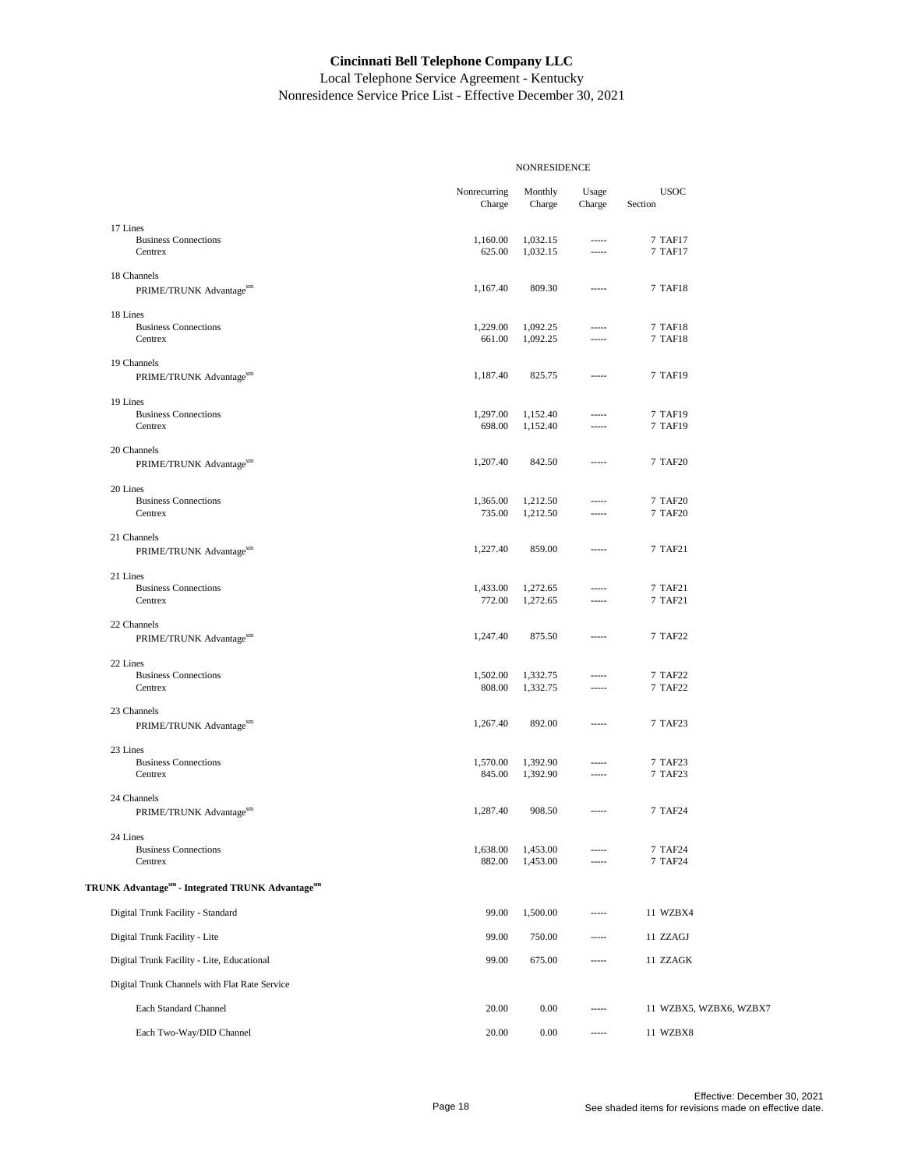|                                                    |                        | NONRESIDENCE         |                            |                        |
|----------------------------------------------------|------------------------|----------------------|----------------------------|------------------------|
|                                                    | Nonrecurring<br>Charge | Monthly<br>Charge    | Usage<br>Charge            | <b>USOC</b><br>Section |
| 17 Lines                                           |                        |                      |                            |                        |
| <b>Business Connections</b><br>Centrex             | 1,160.00<br>625.00     | 1,032.15<br>1,032.15 | $^{***}$<br>1.1.1.1        | 7 TAF17<br>7 TAF17     |
| 18 Channels<br>PRIME/TRUNK Advantagesm             | 1,167.40               | 809.30               | $100 - 100$                | 7 TAF18                |
| 18 Lines                                           |                        |                      |                            |                        |
| <b>Business Connections</b><br>Centrex             | 1,229.00<br>661.00     | 1,092.25<br>1,092.25 | $100 - 100$<br>$100 - 100$ | 7 TAF18<br>7 TAF18     |
| 19 Channels<br>PRIME/TRUNK Advantagesm             | 1,187.40               | 825.75               | $100 - 100$                | 7 TAF19                |
| 19 Lines                                           |                        |                      |                            |                        |
| <b>Business Connections</b><br>Centrex             | 1,297.00<br>698.00     | 1,152.40<br>1,152.40 | $- - - - -$<br>$^{***}$    | 7 TAF19<br>7 TAF19     |
| 20 Channels                                        |                        |                      |                            |                        |
| PRIME/TRUNK Advantagesm                            | 1,207.40               | 842.50               | 1.111                      | 7 TAF20                |
| 20 Lines<br><b>Business Connections</b>            | 1,365.00               |                      | $1 - 1 - 1$                |                        |
| Centrex                                            | 735.00                 | 1,212.50<br>1,212.50 | $- - - - -$                | 7 TAF20<br>7 TAF20     |
| 21 Channels<br>PRIME/TRUNK Advantagesm             | 1,227.40               | 859.00               | $---$                      | 7 TAF21                |
| 21 Lines                                           |                        |                      |                            |                        |
| <b>Business Connections</b><br>Centrex             | 1,433.00<br>772.00     | 1,272.65<br>1,272.65 | 1.1.1.1<br>1.1.1.1         | 7 TAF21<br>7 TAF21     |
| 22 Channels<br>PRIME/TRUNK Advantagesm             | 1,247.40               | 875.50               | $100 - 100$                | 7 TAF22                |
|                                                    |                        |                      |                            |                        |
| 22 Lines<br><b>Business Connections</b><br>Centrex | 1,502.00<br>808.00     | 1,332.75<br>1,332.75 | -----<br>$- - - - -$       | 7 TAF22<br>7 TAF22     |
|                                                    |                        |                      |                            |                        |
| 23 Channels<br>PRIME/TRUNK Advantagesm             | 1,267.40               | 892.00               | $- - - - -$                | 7 TAF23                |
| 23 Lines                                           |                        |                      |                            |                        |
| <b>Business Connections</b><br>Centrex             | 1,570.00<br>845.00     | 1,392.90<br>1,392.90 | $1 - 1 - 1$<br>-----       | 7 TAF23<br>7 TAF23     |
| 24 Channels<br>PRIME/TRUNK Advantagesm             | 1,287.40               | 908.50               | $^{***}$                   | 7 TAF24                |
|                                                    |                        |                      |                            |                        |
| 24 Lines<br><b>Business Connections</b><br>Centrex | 1,638.00<br>882.00     | 1,453.00<br>1,453.00 |                            | 7 TAF24<br>7 TAF24     |
| TRUNK Advantagesm - Integrated TRUNK Advantagesm   |                        |                      |                            |                        |
| Digital Trunk Facility - Standard                  | 99.00                  | 1,500.00             | $- - - - -$                | 11 WZBX4               |
| Digital Trunk Facility - Lite                      | 99.00                  | 750.00               |                            | 11 ZZAGJ               |
| Digital Trunk Facility - Lite, Educational         | 99.00                  | 675.00               | -----                      | 11 ZZAGK               |
| Digital Trunk Channels with Flat Rate Service      |                        |                      |                            |                        |
| Each Standard Channel                              | 20.00                  | 0.00                 |                            | 11 WZBX5, WZBX6, WZBX7 |
| Each Two-Way/DID Channel                           | 20.00                  | 0.00                 | 1.1.1.1                    | 11 WZBX8               |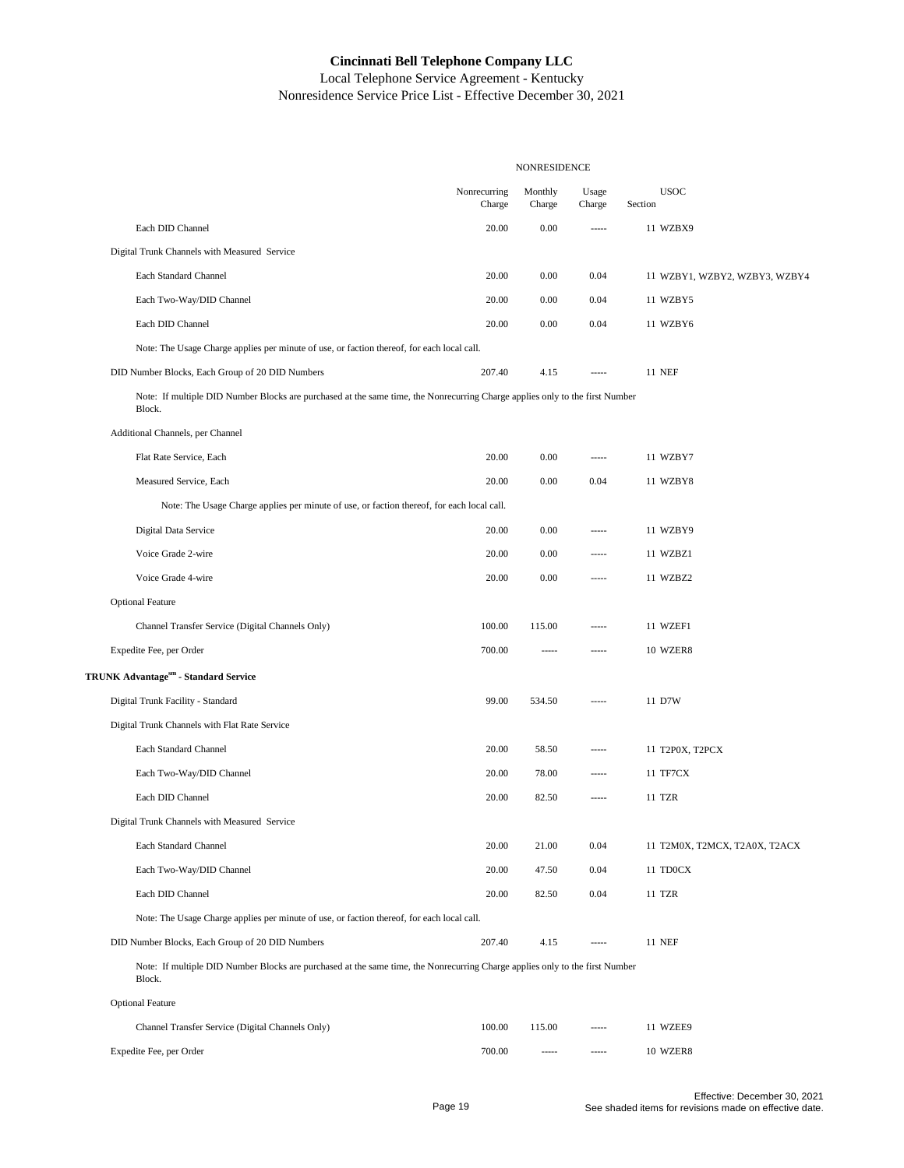|                                                                                                                                        |                        | NONRESIDENCE      |                        |                               |
|----------------------------------------------------------------------------------------------------------------------------------------|------------------------|-------------------|------------------------|-------------------------------|
|                                                                                                                                        | Nonrecurring<br>Charge | Monthly<br>Charge | $\bf{Usage}$<br>Charge | <b>USOC</b><br>Section        |
| Each DID Channel                                                                                                                       | 20.00                  | 0.00              | -----                  | 11 WZBX9                      |
| Digital Trunk Channels with Measured Service                                                                                           |                        |                   |                        |                               |
| Each Standard Channel                                                                                                                  | 20.00                  | 0.00              | 0.04                   | 11 WZBY1, WZBY2, WZBY3, WZBY4 |
| Each Two-Way/DID Channel                                                                                                               | 20.00                  | 0.00              | 0.04                   | 11 WZBY5                      |
| Each DID Channel                                                                                                                       | 20.00                  | 0.00              | 0.04                   | 11 WZBY6                      |
| Note: The Usage Charge applies per minute of use, or faction thereof, for each local call.                                             |                        |                   |                        |                               |
| DID Number Blocks, Each Group of 20 DID Numbers                                                                                        | 207.40                 | 4.15              | $- - - - -$            | <b>11 NEF</b>                 |
| Note: If multiple DID Number Blocks are purchased at the same time, the Nonrecurring Charge applies only to the first Number<br>Block. |                        |                   |                        |                               |
| Additional Channels, per Channel                                                                                                       |                        |                   |                        |                               |
| Flat Rate Service, Each                                                                                                                | 20.00                  | 0.00              | -----                  | 11 WZBY7                      |
| Measured Service, Each                                                                                                                 | 20.00                  | 0.00              | 0.04                   | 11 WZBY8                      |
| Note: The Usage Charge applies per minute of use, or faction thereof, for each local call.                                             |                        |                   |                        |                               |
| Digital Data Service                                                                                                                   | 20.00                  | 0.00              | -----                  | 11 WZBY9                      |
| Voice Grade 2-wire                                                                                                                     | 20.00                  | 0.00              | -----                  | 11 WZBZ1                      |
| Voice Grade 4-wire                                                                                                                     | 20.00                  | 0.00              | -----                  | 11 WZBZ2                      |
| <b>Optional Feature</b>                                                                                                                |                        |                   |                        |                               |
| Channel Transfer Service (Digital Channels Only)                                                                                       | 100.00                 | 115.00            | -----                  | 11 WZEF1                      |
| Expedite Fee, per Order                                                                                                                | 700.00                 | -----             | -----                  | 10 WZER8                      |
| TRUNK Advantagesm - Standard Service                                                                                                   |                        |                   |                        |                               |
| Digital Trunk Facility - Standard                                                                                                      | 99.00                  | 534.50            | $- - - - -$            | 11 D7W                        |
| Digital Trunk Channels with Flat Rate Service                                                                                          |                        |                   |                        |                               |
| Each Standard Channel                                                                                                                  | 20.00                  | 58.50             | -----                  | 11 T2P0X, T2PCX               |
| Each Two-Way/DID Channel                                                                                                               | 20.00                  | 78.00             | -----                  | 11 TF7CX                      |
| Each DID Channel                                                                                                                       | 20.00                  | 82.50             | -----                  | 11 TZR                        |
| Digital Trunk Channels with Measured Service                                                                                           |                        |                   |                        |                               |
| Each Standard Channel                                                                                                                  | 20.00                  | 21.00             | 0.04                   | 11 T2M0X, T2MCX, T2A0X, T2ACX |
| Each Two-Way/DID Channel                                                                                                               | 20.00                  | 47.50             | 0.04                   | 11 TDOCX                      |
| Each DID Channel                                                                                                                       | 20.00                  | 82.50             | 0.04                   | 11 TZR                        |
| Note: The Usage Charge applies per minute of use, or faction thereof, for each local call.                                             |                        |                   |                        |                               |
| DID Number Blocks, Each Group of 20 DID Numbers                                                                                        | 207.40                 | 4.15              | -----                  | <b>11 NEF</b>                 |
| Note: If multiple DID Number Blocks are purchased at the same time, the Nonrecurring Charge applies only to the first Number<br>Block. |                        |                   |                        |                               |
| <b>Optional Feature</b>                                                                                                                |                        |                   |                        |                               |
| Channel Transfer Service (Digital Channels Only)                                                                                       | 100.00                 | 115.00            | -----                  | 11 WZEE9                      |
| Expedite Fee, per Order                                                                                                                | 700.00                 | -----             | -----                  | 10 WZER8                      |